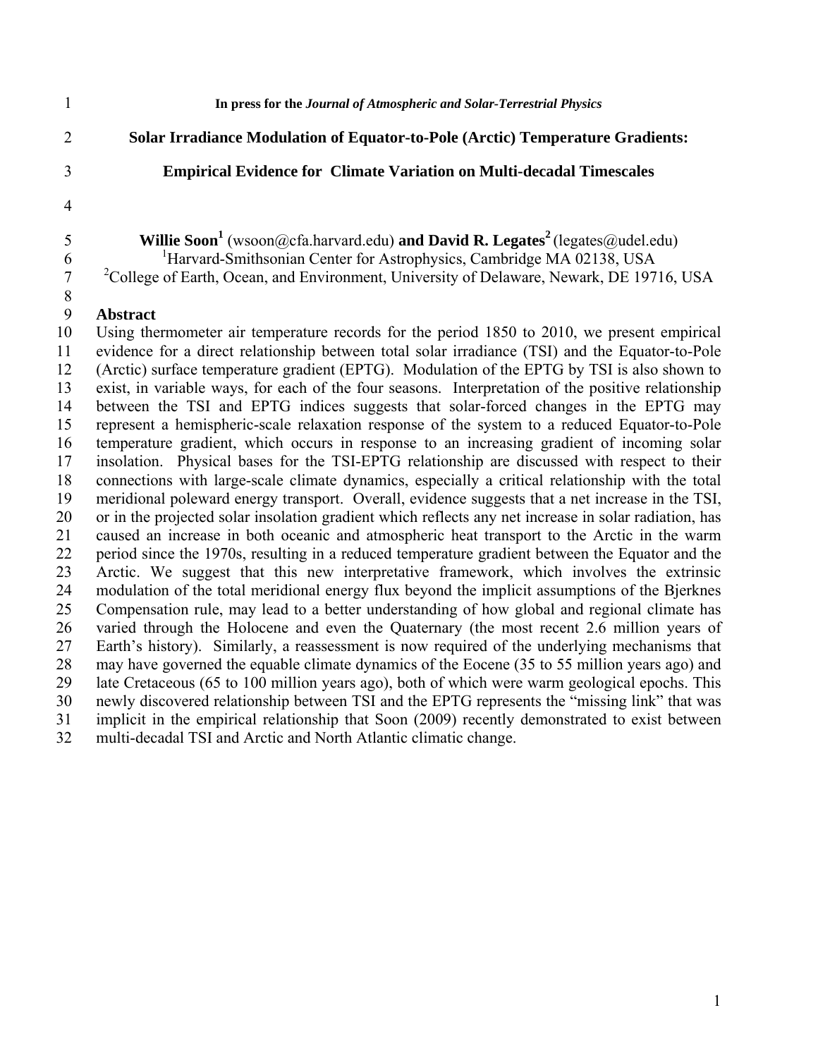1 **In press for the** *Journal of Atmospheric and Solar-Terrestrial Physics* 2 **Solar Irradiance Modulation of Equator-to-Pole (Arctic) Temperature Gradients:**  3 **Empirical Evidence for Climate Variation on Multi-decadal Timescales**  4 **Willie Soon<sup>1</sup>** (wsoon@cfa.harvard.edu) **and David R. Legates**<sup>2</sup> (legates@udel.edu) <sup>1</sup>Harvard-Smithsonian Center for Astrophysics, Cambridge MA 02138, USA <sup>2</sup> College of Earth, Ocean, and Environment, University of Delaware, Newark, DE 19716, USA 8 9 **Abstract**  10 Using thermometer air temperature records for the period 1850 to 2010, we present empirical 11 evidence for a direct relationship between total solar irradiance (TSI) and the Equator-to-Pole 12 (Arctic) surface temperature gradient (EPTG). Modulation of the EPTG by TSI is also shown to 13 exist, in variable ways, for each of the four seasons. Interpretation of the positive relationship 14 between the TSI and EPTG indices suggests that solar-forced changes in the EPTG may 15 represent a hemispheric-scale relaxation response of the system to a reduced Equator-to-Pole 16 temperature gradient, which occurs in response to an increasing gradient of incoming solar 17 insolation. Physical bases for the TSI-EPTG relationship are discussed with respect to their 18 connections with large-scale climate dynamics, especially a critical relationship with the total 19 meridional poleward energy transport. Overall, evidence suggests that a net increase in the TSI, 20 or in the projected solar insolation gradient which reflects any net increase in solar radiation, has 21 caused an increase in both oceanic and atmospheric heat transport to the Arctic in the warm 22 period since the 1970s, resulting in a reduced temperature gradient between the Equator and the 23 Arctic. We suggest that this new interpretative framework, which involves the extrinsic 24 modulation of the total meridional energy flux beyond the implicit assumptions of the Bjerknes 25 Compensation rule, may lead to a better understanding of how global and regional climate has 26 varied through the Holocene and even the Quaternary (the most recent 2.6 million years of 27 Earth's history). Similarly, a reassessment is now required of the underlying mechanisms that 28 may have governed the equable climate dynamics of the Eocene (35 to 55 million years ago) and 29 late Cretaceous (65 to 100 million years ago), both of which were warm geological epochs. This 30 newly discovered relationship between TSI and the EPTG represents the "missing link" that was 31 implicit in the empirical relationship that Soon (2009) recently demonstrated to exist between 32 multi-decadal TSI and Arctic and North Atlantic climatic change.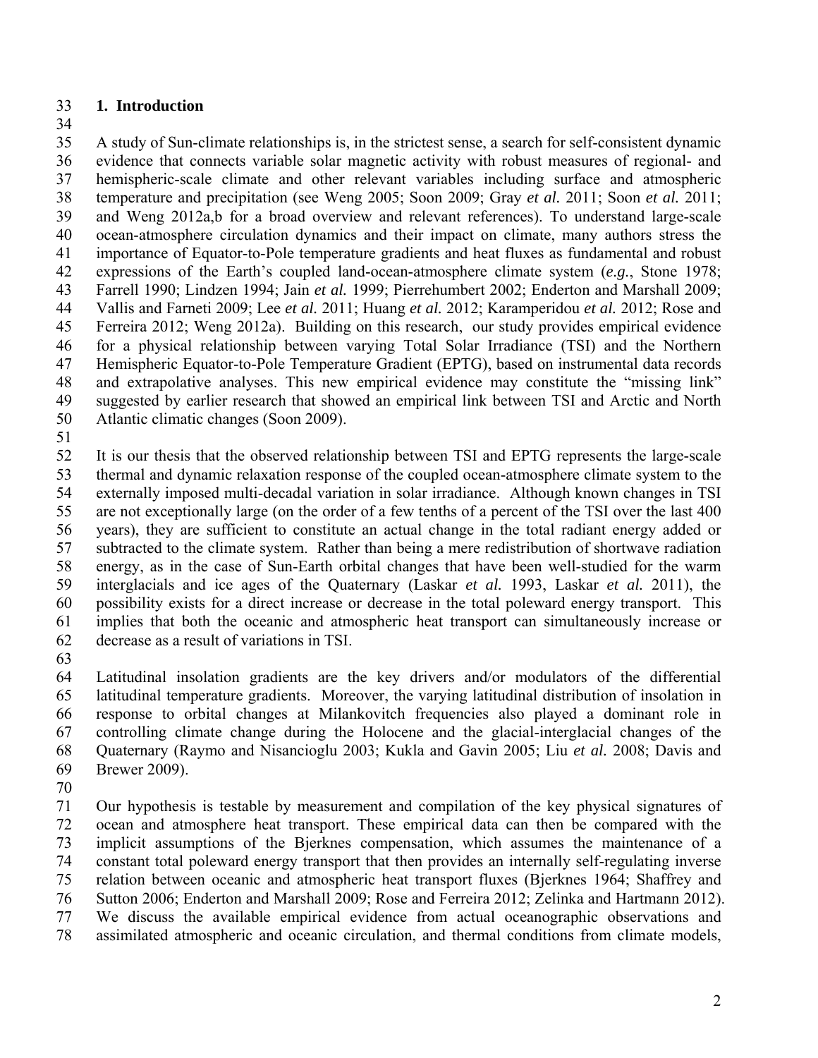## 33 **1. Introduction**

34

35 A study of Sun-climate relationships is, in the strictest sense, a search for self-consistent dynamic 36 evidence that connects variable solar magnetic activity with robust measures of regional- and 37 hemispheric-scale climate and other relevant variables including surface and atmospheric 38 temperature and precipitation (see Weng 2005; Soon 2009; Gray *et al.* 2011; Soon *et al.* 2011; 39 and Weng 2012a,b for a broad overview and relevant references). To understand large-scale 40 ocean-atmosphere circulation dynamics and their impact on climate, many authors stress the 41 importance of Equator-to-Pole temperature gradients and heat fluxes as fundamental and robust 42 expressions of the Earth's coupled land-ocean-atmosphere climate system (*e.g.*, Stone 1978; 43 Farrell 1990; Lindzen 1994; Jain *et al.* 1999; Pierrehumbert 2002; Enderton and Marshall 2009; 44 Vallis and Farneti 2009; Lee *et al.* 2011; Huang *et al.* 2012; Karamperidou *et al.* 2012; Rose and 45 Ferreira 2012; Weng 2012a). Building on this research, our study provides empirical evidence 46 for a physical relationship between varying Total Solar Irradiance (TSI) and the Northern 47 Hemispheric Equator-to-Pole Temperature Gradient (EPTG), based on instrumental data records 48 and extrapolative analyses. This new empirical evidence may constitute the "missing link" 49 suggested by earlier research that showed an empirical link between TSI and Arctic and North 50 Atlantic climatic changes (Soon 2009).

51

52 It is our thesis that the observed relationship between TSI and EPTG represents the large-scale 53 thermal and dynamic relaxation response of the coupled ocean-atmosphere climate system to the 54 externally imposed multi-decadal variation in solar irradiance. Although known changes in TSI 55 are not exceptionally large (on the order of a few tenths of a percent of the TSI over the last 400 56 years), they are sufficient to constitute an actual change in the total radiant energy added or 57 subtracted to the climate system. Rather than being a mere redistribution of shortwave radiation 58 energy, as in the case of Sun-Earth orbital changes that have been well-studied for the warm 59 interglacials and ice ages of the Quaternary (Laskar *et al.* 1993, Laskar *et al.* 2011), the 60 possibility exists for a direct increase or decrease in the total poleward energy transport. This 61 implies that both the oceanic and atmospheric heat transport can simultaneously increase or 62 decrease as a result of variations in TSI.

63

64 Latitudinal insolation gradients are the key drivers and/or modulators of the differential 65 latitudinal temperature gradients. Moreover, the varying latitudinal distribution of insolation in 66 response to orbital changes at Milankovitch frequencies also played a dominant role in 67 controlling climate change during the Holocene and the glacial-interglacial changes of the 68 Quaternary (Raymo and Nisancioglu 2003; Kukla and Gavin 2005; Liu *et al.* 2008; Davis and 69 Brewer 2009).

70

71 Our hypothesis is testable by measurement and compilation of the key physical signatures of 72 ocean and atmosphere heat transport. These empirical data can then be compared with the 73 implicit assumptions of the Bjerknes compensation, which assumes the maintenance of a 74 constant total poleward energy transport that then provides an internally self-regulating inverse 75 relation between oceanic and atmospheric heat transport fluxes (Bjerknes 1964; Shaffrey and 76 Sutton 2006; Enderton and Marshall 2009; Rose and Ferreira 2012; Zelinka and Hartmann 2012). 77 We discuss the available empirical evidence from actual oceanographic observations and 78 assimilated atmospheric and oceanic circulation, and thermal conditions from climate models,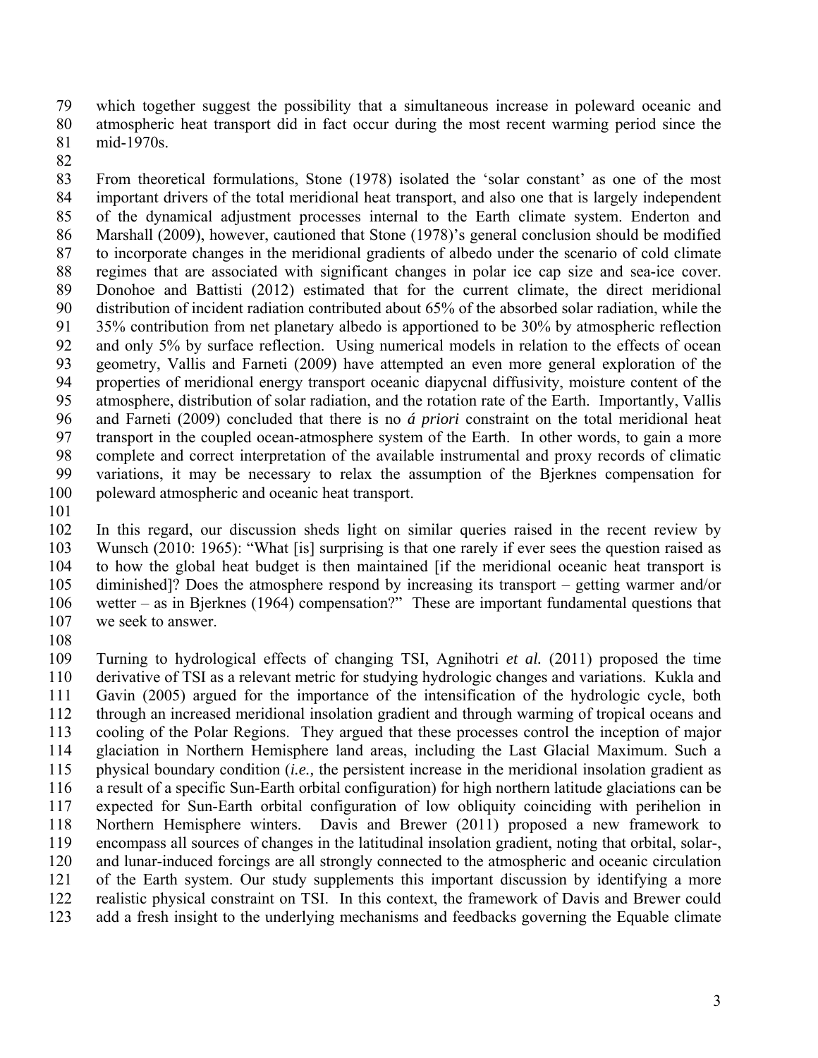79 which together suggest the possibility that a simultaneous increase in poleward oceanic and 80 atmospheric heat transport did in fact occur during the most recent warming period since the 81 mid-1970s.

82

83 From theoretical formulations, Stone (1978) isolated the 'solar constant' as one of the most 84 important drivers of the total meridional heat transport, and also one that is largely independent 85 of the dynamical adjustment processes internal to the Earth climate system. Enderton and 86 Marshall (2009), however, cautioned that Stone (1978)'s general conclusion should be modified 87 to incorporate changes in the meridional gradients of albedo under the scenario of cold climate 88 regimes that are associated with significant changes in polar ice cap size and sea-ice cover. 89 Donohoe and Battisti (2012) estimated that for the current climate, the direct meridional 90 distribution of incident radiation contributed about 65% of the absorbed solar radiation, while the 91 35% contribution from net planetary albedo is apportioned to be 30% by atmospheric reflection 92 and only 5% by surface reflection. Using numerical models in relation to the effects of ocean 93 geometry, Vallis and Farneti (2009) have attempted an even more general exploration of the 94 properties of meridional energy transport oceanic diapycnal diffusivity, moisture content of the 95 atmosphere, distribution of solar radiation, and the rotation rate of the Earth. Importantly, Vallis 96 and Farneti (2009) concluded that there is no *á priori* constraint on the total meridional heat 97 transport in the coupled ocean-atmosphere system of the Earth. In other words, to gain a more 98 complete and correct interpretation of the available instrumental and proxy records of climatic 99 variations, it may be necessary to relax the assumption of the Bjerknes compensation for 100 poleward atmospheric and oceanic heat transport.

101

102 In this regard, our discussion sheds light on similar queries raised in the recent review by 103 Wunsch (2010: 1965): "What [is] surprising is that one rarely if ever sees the question raised as 104 to how the global heat budget is then maintained [if the meridional oceanic heat transport is 105 diminished]? Does the atmosphere respond by increasing its transport – getting warmer and/or 106 wetter – as in Bjerknes (1964) compensation?" These are important fundamental questions that 107 we seek to answer.

108

109 Turning to hydrological effects of changing TSI, Agnihotri *et al.* (2011) proposed the time 110 derivative of TSI as a relevant metric for studying hydrologic changes and variations. Kukla and 111 Gavin (2005) argued for the importance of the intensification of the hydrologic cycle, both 112 through an increased meridional insolation gradient and through warming of tropical oceans and 113 cooling of the Polar Regions. They argued that these processes control the inception of major 114 glaciation in Northern Hemisphere land areas, including the Last Glacial Maximum. Such a 115 physical boundary condition (*i.e.,* the persistent increase in the meridional insolation gradient as 116 a result of a specific Sun-Earth orbital configuration) for high northern latitude glaciations can be 117 expected for Sun-Earth orbital configuration of low obliquity coinciding with perihelion in 118 Northern Hemisphere winters. Davis and Brewer (2011) proposed a new framework to 119 encompass all sources of changes in the latitudinal insolation gradient, noting that orbital, solar-, 120 and lunar-induced forcings are all strongly connected to the atmospheric and oceanic circulation 121 of the Earth system. Our study supplements this important discussion by identifying a more 122 realistic physical constraint on TSI. In this context, the framework of Davis and Brewer could 123 add a fresh insight to the underlying mechanisms and feedbacks governing the Equable climate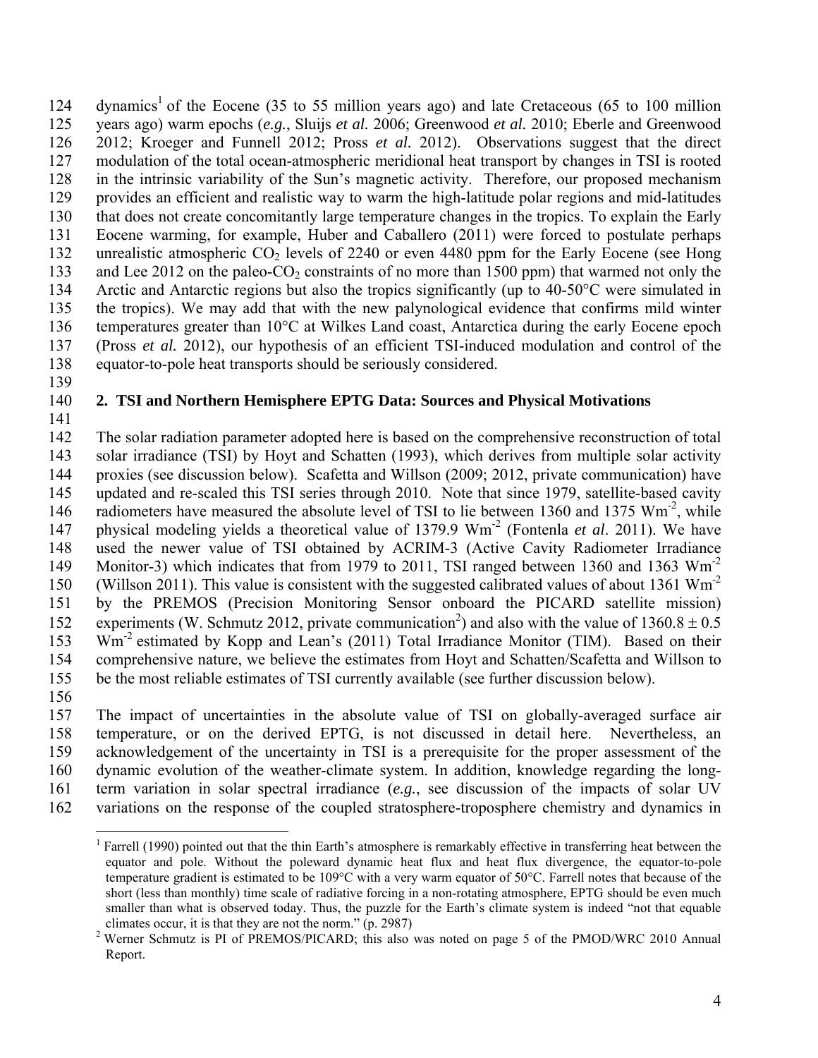124 dynamics<sup>1</sup> of the Eocene (35 to 55 million years ago) and late Cretaceous (65 to 100 million 125 years ago) warm epochs (*e.g.*, Sluijs *et al.* 2006; Greenwood *et al.* 2010; Eberle and Greenwood 126 2012; Kroeger and Funnell 2012; Pross *et al.* 2012). Observations suggest that the direct 127 modulation of the total ocean-atmospheric meridional heat transport by changes in TSI is rooted 128 in the intrinsic variability of the Sun's magnetic activity. Therefore, our proposed mechanism 129 provides an efficient and realistic way to warm the high-latitude polar regions and mid-latitudes 130 that does not create concomitantly large temperature changes in the tropics. To explain the Early 131 Eocene warming, for example, Huber and Caballero (2011) were forced to postulate perhaps 132 unrealistic atmospheric CO<sub>2</sub> levels of 2240 or even 4480 ppm for the Early Eocene (see Hong 133 and Lee 2012 on the paleo-CO<sub>2</sub> constraints of no more than 1500 ppm) that warmed not only the 134 Arctic and Antarctic regions but also the tropics significantly (up to 40-50°C were simulated in 135 the tropics). We may add that with the new palynological evidence that confirms mild winter 136 temperatures greater than 10°C at Wilkes Land coast, Antarctica during the early Eocene epoch 137 (Pross *et al.* 2012), our hypothesis of an efficient TSI-induced modulation and control of the 138 equator-to-pole heat transports should be seriously considered.

139

## 140 **2. TSI and Northern Hemisphere EPTG Data: Sources and Physical Motivations**

141

142 The solar radiation parameter adopted here is based on the comprehensive reconstruction of total 143 solar irradiance (TSI) by Hoyt and Schatten (1993), which derives from multiple solar activity 144 proxies (see discussion below). Scafetta and Willson (2009; 2012, private communication) have 145 updated and re-scaled this TSI series through 2010. Note that since 1979, satellite-based cavity 146 radiometers have measured the absolute level of TSI to lie between 1360 and 1375  $\text{Wm}^2$ , while 147 physical modeling yields a theoretical value of 1379.9 Wm<sup>-2</sup> (Fontenla *et al.* 2011). We have 148 used the newer value of TSI obtained by ACRIM-3 (Active Cavity Radiometer Irradiance 149 Monitor-3) which indicates that from 1979 to 2011, TSI ranged between 1360 and 1363 Wm<sup>-2</sup> 150 (Willson 2011). This value is consistent with the suggested calibrated values of about 1361 Wm<sup>-2</sup> 151 by the PREMOS (Precision Monitoring Sensor onboard the PICARD satellite mission) 152 experiments (W. Schmutz 2012, private communication<sup>2</sup>) and also with the value of  $1360.8 \pm 0.5$ 153 Wm<sup>-2</sup> estimated by Kopp and Lean's (2011) Total Irradiance Monitor (TIM). Based on their 154 comprehensive nature, we believe the estimates from Hoyt and Schatten/Scafetta and Willson to 155 be the most reliable estimates of TSI currently available (see further discussion below).

156

 $\overline{a}$ 

157 The impact of uncertainties in the absolute value of TSI on globally-averaged surface air 158 temperature, or on the derived EPTG, is not discussed in detail here. Nevertheless, an 159 acknowledgement of the uncertainty in TSI is a prerequisite for the proper assessment of the 160 dynamic evolution of the weather-climate system. In addition, knowledge regarding the long-161 term variation in solar spectral irradiance (*e.g.*, see discussion of the impacts of solar UV 162 variations on the response of the coupled stratosphere-troposphere chemistry and dynamics in

<sup>&</sup>lt;sup>1</sup> Farrell (1990) pointed out that the thin Earth's atmosphere is remarkably effective in transferring heat between the equator and pole. Without the poleward dynamic heat flux and heat flux divergence, the equator-to-pole temperature gradient is estimated to be 109°C with a very warm equator of 50°C. Farrell notes that because of the short (less than monthly) time scale of radiative forcing in a non-rotating atmosphere, EPTG should be even much smaller than what is observed today. Thus, the puzzle for the Earth's climate system is indeed "not that equable climates occur, it is that they are not the norm."  $(p. 2987)$ 

<sup>&</sup>lt;sup>2</sup> Werner Schmutz is PI of PREMOS/PICARD; this also was noted on page 5 of the PMOD/WRC 2010 Annual Report.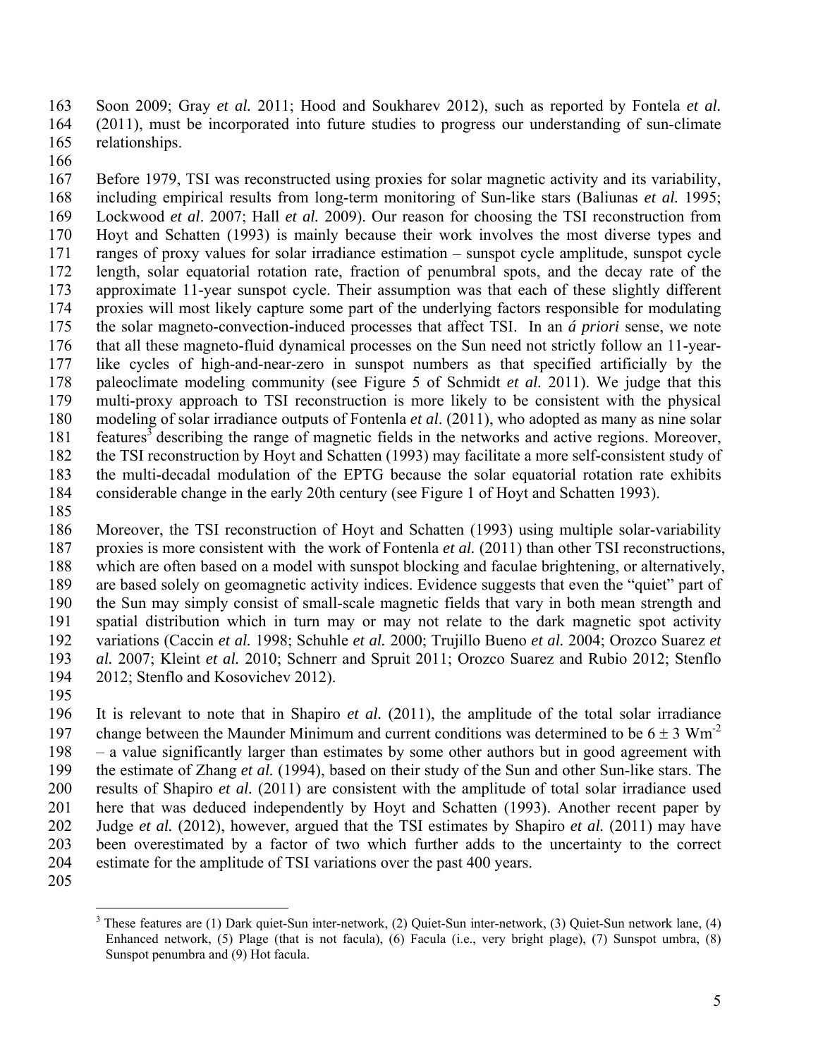163 Soon 2009; Gray *et al.* 2011; Hood and Soukharev 2012), such as reported by Fontela *et al.* 164 (2011), must be incorporated into future studies to progress our understanding of sun-climate 165 relationships.

166

167 Before 1979, TSI was reconstructed using proxies for solar magnetic activity and its variability, 168 including empirical results from long-term monitoring of Sun-like stars (Baliunas *et al.* 1995; 169 Lockwood *et al*. 2007; Hall *et al.* 2009). Our reason for choosing the TSI reconstruction from 170 Hoyt and Schatten (1993) is mainly because their work involves the most diverse types and 171 ranges of proxy values for solar irradiance estimation – sunspot cycle amplitude, sunspot cycle 172 length, solar equatorial rotation rate, fraction of penumbral spots, and the decay rate of the 173 approximate 11-year sunspot cycle. Their assumption was that each of these slightly different 174 proxies will most likely capture some part of the underlying factors responsible for modulating 175 the solar magneto-convection-induced processes that affect TSI. In an *á priori* sense, we note 176 that all these magneto-fluid dynamical processes on the Sun need not strictly follow an 11-year-177 like cycles of high-and-near-zero in sunspot numbers as that specified artificially by the 178 paleoclimate modeling community (see Figure 5 of Schmidt *et al.* 2011). We judge that this 179 multi-proxy approach to TSI reconstruction is more likely to be consistent with the physical 180 modeling of solar irradiance outputs of Fontenla *et al*. (2011), who adopted as many as nine solar 181 features<sup>3</sup> describing the range of magnetic fields in the networks and active regions. Moreover, 182 the TSI reconstruction by Hoyt and Schatten (1993) may facilitate a more self-consistent study of 183 the multi-decadal modulation of the EPTG because the solar equatorial rotation rate exhibits 184 considerable change in the early 20th century (see Figure 1 of Hoyt and Schatten 1993).

185

186 Moreover, the TSI reconstruction of Hoyt and Schatten (1993) using multiple solar-variability 187 proxies is more consistent with the work of Fontenla *et al.* (2011) than other TSI reconstructions, 188 which are often based on a model with sunspot blocking and faculae brightening, or alternatively, 189 are based solely on geomagnetic activity indices. Evidence suggests that even the "quiet" part of 190 the Sun may simply consist of small-scale magnetic fields that vary in both mean strength and 191 spatial distribution which in turn may or may not relate to the dark magnetic spot activity 192 variations (Caccin *et al.* 1998; Schuhle *et al.* 2000; Trujillo Bueno *et al.* 2004; Orozco Suarez *et*  193 *al.* 2007; Kleint *et al.* 2010; Schnerr and Spruit 2011; Orozco Suarez and Rubio 2012; Stenflo 194 2012; Stenflo and Kosovichev 2012).

195

196 It is relevant to note that in Shapiro *et al.* (2011), the amplitude of the total solar irradiance 197 change between the Maunder Minimum and current conditions was determined to be  $6 \pm 3$  Wm<sup>-2</sup> 198 – a value significantly larger than estimates by some other authors but in good agreement with 199 the estimate of Zhang *et al.* (1994), based on their study of the Sun and other Sun-like stars. The 200 results of Shapiro *et al.* (2011) are consistent with the amplitude of total solar irradiance used 201 here that was deduced independently by Hoyt and Schatten (1993). Another recent paper by 202 Judge *et al.* (2012), however, argued that the TSI estimates by Shapiro *et al.* (2011) may have 203 been overestimated by a factor of two which further adds to the uncertainty to the correct 204 estimate for the amplitude of TSI variations over the past 400 years.

205

 $\overline{a}$ <sup>3</sup> These features are (1) Dark quiet-Sun inter-network, (2) Quiet-Sun inter-network, (3) Quiet-Sun network lane, (4) Enhanced network, (5) Plage (that is not facula), (6) Facula (i.e., very bright plage), (7) Sunspot umbra, (8) Sunspot penumbra and (9) Hot facula.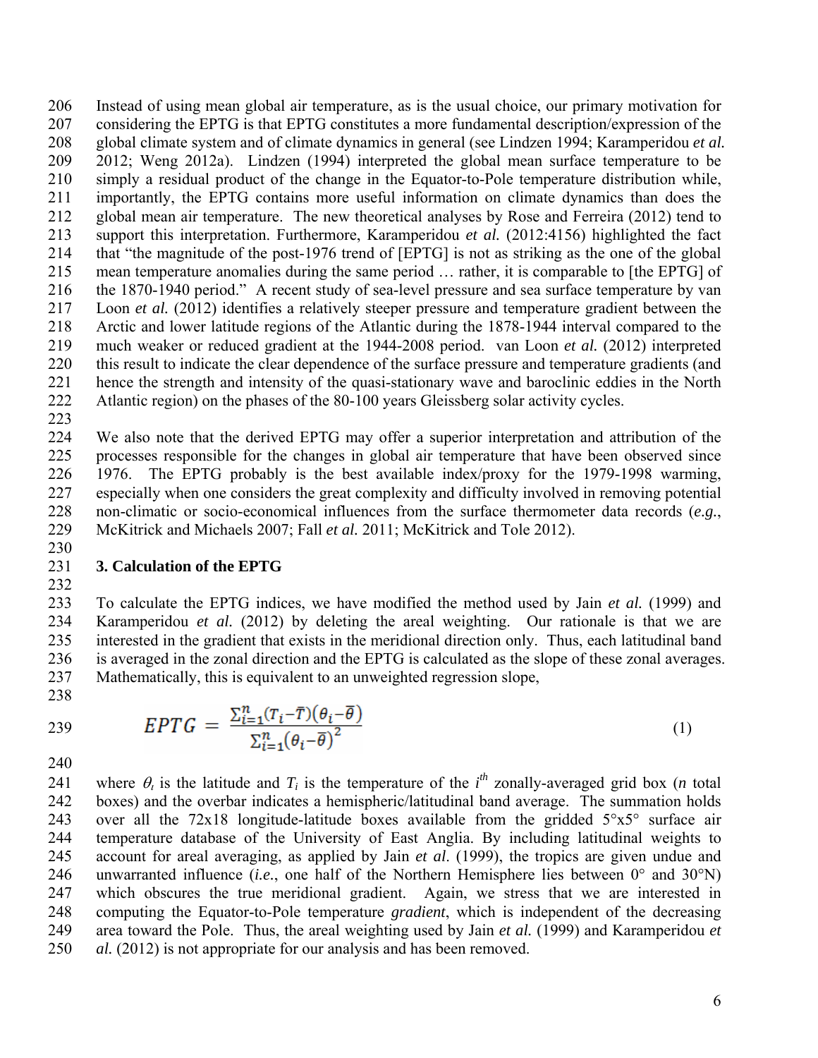206 Instead of using mean global air temperature, as is the usual choice, our primary motivation for 207 considering the EPTG is that EPTG constitutes a more fundamental description/expression of the 208 global climate system and of climate dynamics in general (see Lindzen 1994; Karamperidou *et al.* 209 2012; Weng 2012a). Lindzen (1994) interpreted the global mean surface temperature to be 210 simply a residual product of the change in the Equator-to-Pole temperature distribution while, 211 importantly, the EPTG contains more useful information on climate dynamics than does the 212 global mean air temperature. The new theoretical analyses by Rose and Ferreira (2012) tend to 213 support this interpretation. Furthermore, Karamperidou *et al.* (2012:4156) highlighted the fact 214 that "the magnitude of the post-1976 trend of [EPTG] is not as striking as the one of the global 215 mean temperature anomalies during the same period … rather, it is comparable to [the EPTG] of 216 the 1870-1940 period." A recent study of sea-level pressure and sea surface temperature by van 217 Loon *et al.* (2012) identifies a relatively steeper pressure and temperature gradient between the 218 Arctic and lower latitude regions of the Atlantic during the 1878-1944 interval compared to the 219 much weaker or reduced gradient at the 1944-2008 period. van Loon *et al.* (2012) interpreted 220 this result to indicate the clear dependence of the surface pressure and temperature gradients (and 221 hence the strength and intensity of the quasi-stationary wave and baroclinic eddies in the North 222 Atlantic region) on the phases of the 80-100 years Gleissberg solar activity cycles.

223

224 We also note that the derived EPTG may offer a superior interpretation and attribution of the 225 processes responsible for the changes in global air temperature that have been observed since 226 1976. The EPTG probably is the best available index/proxy for the 1979-1998 warming, 227 especially when one considers the great complexity and difficulty involved in removing potential 228 non-climatic or socio-economical influences from the surface thermometer data records (*e.g.*, 229 McKitrick and Michaels 2007; Fall *et al.* 2011; McKitrick and Tole 2012).

### 231 **3. Calculation of the EPTG**

232

230

233 To calculate the EPTG indices, we have modified the method used by Jain *et al.* (1999) and 234 Karamperidou *et al.* (2012) by deleting the areal weighting. Our rationale is that we are 235 interested in the gradient that exists in the meridional direction only. Thus, each latitudinal band 236 is averaged in the zonal direction and the EPTG is calculated as the slope of these zonal averages. 237 Mathematically, this is equivalent to an unweighted regression slope,

238

$$
EPTG = \frac{\sum_{i=1}^{n} (T_i - \overline{T})(\theta_i - \overline{\theta})}{\sum_{i=1}^{n} (\theta_i - \overline{\theta})^2}
$$
(1)

240

241 where  $\theta_i$  is the latitude and  $T_i$  is the temperature of the *i*<sup>th</sup> zonally-averaged grid box (*n* total 242 boxes) and the overbar indicates a hemispheric/latitudinal band average. The summation holds 243 over all the 72x18 longitude-latitude boxes available from the gridded  $5^{\circ}x5^{\circ}$  surface air 244 temperature database of the University of East Anglia. By including latitudinal weights to 245 account for areal averaging, as applied by Jain *et al*. (1999), the tropics are given undue and 246 unwarranted influence (*i.e.*, one half of the Northern Hemisphere lies between 0° and 30°N) 247 which obscures the true meridional gradient. Again, we stress that we are interested in 248 computing the Equator-to-Pole temperature *gradient*, which is independent of the decreasing 249 area toward the Pole. Thus, the areal weighting used by Jain *et al.* (1999) and Karamperidou *et*  250 *al.* (2012) is not appropriate for our analysis and has been removed.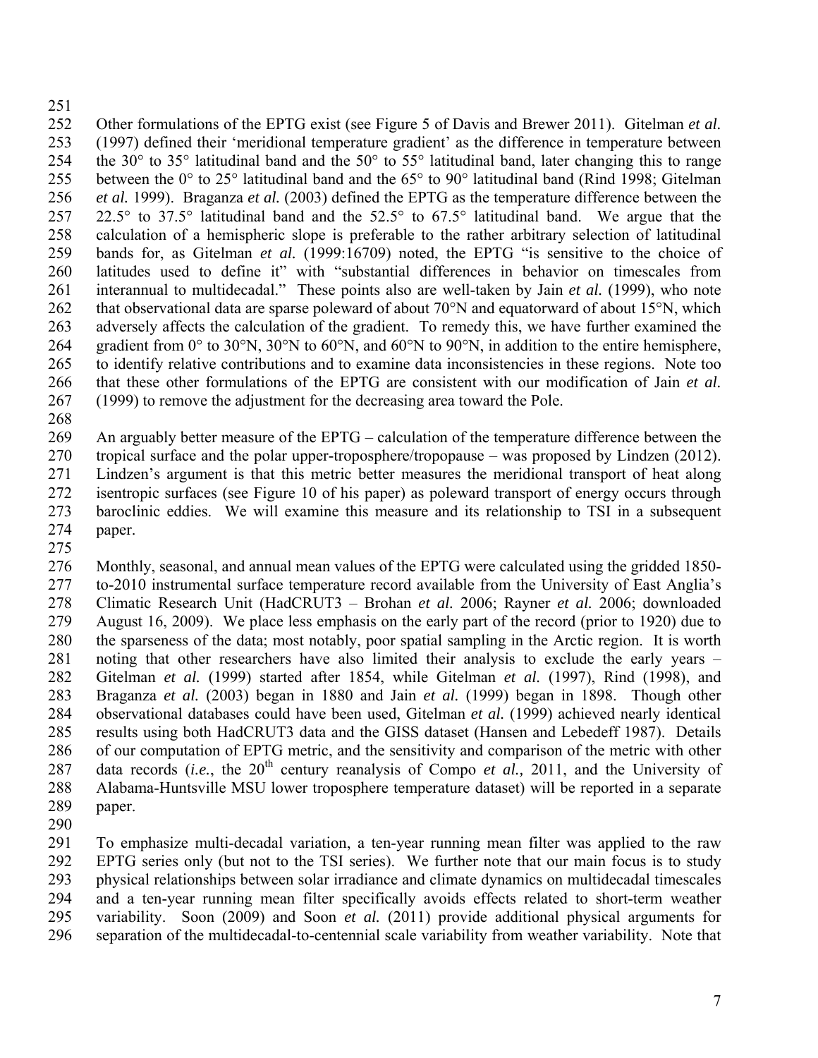## 251

252 Other formulations of the EPTG exist (see Figure 5 of Davis and Brewer 2011). Gitelman *et al.* 253 (1997) defined their 'meridional temperature gradient' as the difference in temperature between 254 the 30° to 35° latitudinal band and the 50° to 55° latitudinal band, later changing this to range 255 between the 0° to 25° latitudinal band and the 65° to 90° latitudinal band (Rind 1998; Gitelman 256 *et al.* 1999). Braganza *et al.* (2003) defined the EPTG as the temperature difference between the 257 22.5° to 37.5° latitudinal band and the 52.5° to 67.5° latitudinal band. We argue that the 258 calculation of a hemispheric slope is preferable to the rather arbitrary selection of latitudinal 259 bands for, as Gitelman *et al.* (1999:16709) noted, the EPTG "is sensitive to the choice of 260 latitudes used to define it" with "substantial differences in behavior on timescales from 261 interannual to multidecadal." These points also are well-taken by Jain *et al.* (1999), who note 262 that observational data are sparse poleward of about 70°N and equatorward of about 15°N, which 263 adversely affects the calculation of the gradient. To remedy this, we have further examined the 264 gradient from 0° to 30°N, 30°N to 60°N, and 60°N to 90°N, in addition to the entire hemisphere, 265 to identify relative contributions and to examine data inconsistencies in these regions. Note too 266 that these other formulations of the EPTG are consistent with our modification of Jain *et al.*  267 (1999) to remove the adjustment for the decreasing area toward the Pole.

268

269 An arguably better measure of the EPTG – calculation of the temperature difference between the

270 tropical surface and the polar upper-troposphere/tropopause – was proposed by Lindzen (2012). 271 Lindzen's argument is that this metric better measures the meridional transport of heat along 272 isentropic surfaces (see Figure 10 of his paper) as poleward transport of energy occurs through 273 baroclinic eddies. We will examine this measure and its relationship to TSI in a subsequent 274 paper.

275

276 Monthly, seasonal, and annual mean values of the EPTG were calculated using the gridded 1850- 277 to-2010 instrumental surface temperature record available from the University of East Anglia's 278 Climatic Research Unit (HadCRUT3 – Brohan *et al.* 2006; Rayner *et al.* 2006; downloaded 279 August 16, 2009). We place less emphasis on the early part of the record (prior to 1920) due to 280 the sparseness of the data; most notably, poor spatial sampling in the Arctic region. It is worth 281 noting that other researchers have also limited their analysis to exclude the early years – 282 Gitelman *et al.* (1999) started after 1854, while Gitelman *et al.* (1997), Rind (1998), and 283 Braganza *et al.* (2003) began in 1880 and Jain *et al.* (1999) began in 1898. Though other 284 observational databases could have been used, Gitelman *et al.* (1999) achieved nearly identical 285 results using both HadCRUT3 data and the GISS dataset (Hansen and Lebedeff 1987). Details 286 of our computation of EPTG metric, and the sensitivity and comparison of the metric with other 287 data records (*i.e.*, the 20<sup>th</sup> century reanalysis of Compo *et al.*, 2011, and the University of 288 Alabama-Huntsville MSU lower troposphere temperature dataset) will be reported in a separate 289 paper.

290

291 To emphasize multi-decadal variation, a ten-year running mean filter was applied to the raw 292 EPTG series only (but not to the TSI series). We further note that our main focus is to study 293 physical relationships between solar irradiance and climate dynamics on multidecadal timescales 294 and a ten-year running mean filter specifically avoids effects related to short-term weather 295 variability. Soon (2009) and Soon *et al.* (2011) provide additional physical arguments for 296 separation of the multidecadal-to-centennial scale variability from weather variability. Note that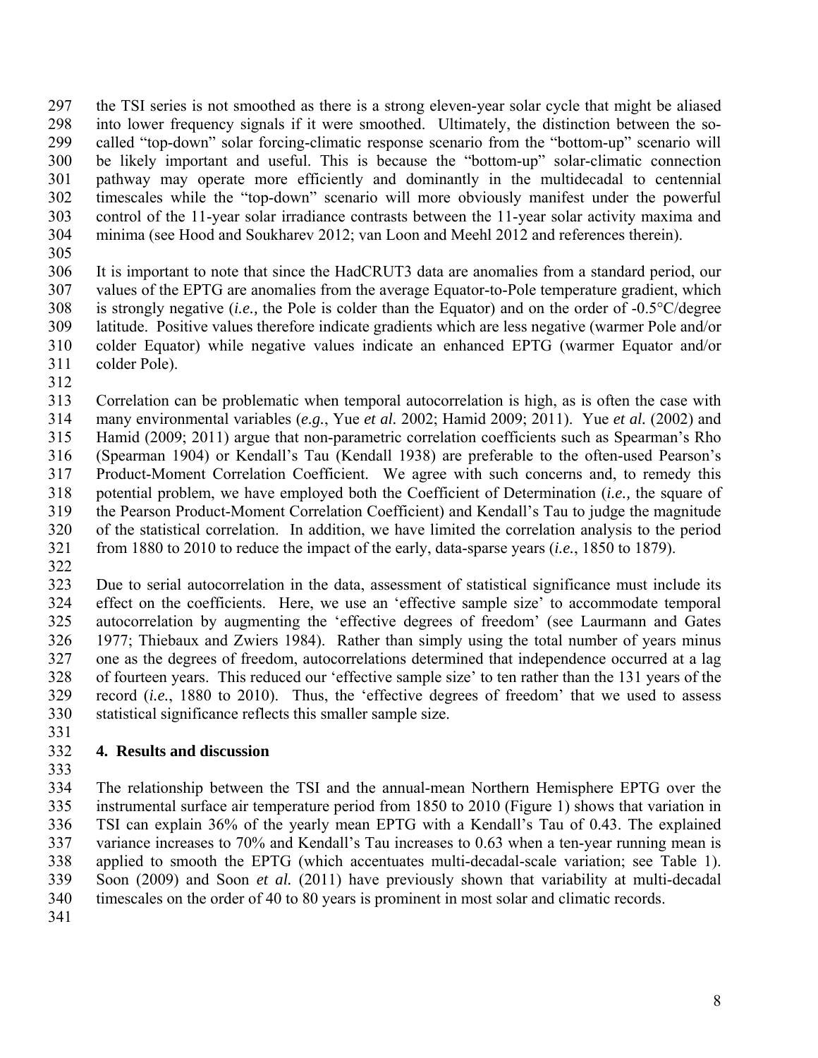297 the TSI series is not smoothed as there is a strong eleven-year solar cycle that might be aliased 298 into lower frequency signals if it were smoothed. Ultimately, the distinction between the so-299 called "top-down" solar forcing-climatic response scenario from the "bottom-up" scenario will 300 be likely important and useful. This is because the "bottom-up" solar-climatic connection 301 pathway may operate more efficiently and dominantly in the multidecadal to centennial 302 timescales while the "top-down" scenario will more obviously manifest under the powerful 303 control of the 11-year solar irradiance contrasts between the 11-year solar activity maxima and 304 minima (see Hood and Soukharev 2012; van Loon and Meehl 2012 and references therein).

305

306 It is important to note that since the HadCRUT3 data are anomalies from a standard period, our 307 values of the EPTG are anomalies from the average Equator-to-Pole temperature gradient, which 308 is strongly negative (*i.e.,* the Pole is colder than the Equator) and on the order of -0.5°C/degree 309 latitude. Positive values therefore indicate gradients which are less negative (warmer Pole and/or 310 colder Equator) while negative values indicate an enhanced EPTG (warmer Equator and/or 311 colder Pole).

312

313 Correlation can be problematic when temporal autocorrelation is high, as is often the case with 314 many environmental variables (*e.g.*, Yue *et al.* 2002; Hamid 2009; 2011). Yue *et al.* (2002) and 315 Hamid (2009; 2011) argue that non-parametric correlation coefficients such as Spearman's Rho 316 (Spearman 1904) or Kendall's Tau (Kendall 1938) are preferable to the often-used Pearson's 317 Product-Moment Correlation Coefficient. We agree with such concerns and, to remedy this 318 potential problem, we have employed both the Coefficient of Determination (*i.e.,* the square of 319 the Pearson Product-Moment Correlation Coefficient) and Kendall's Tau to judge the magnitude 320 of the statistical correlation. In addition, we have limited the correlation analysis to the period 321 from 1880 to 2010 to reduce the impact of the early, data-sparse years (*i.e.*, 1850 to 1879).

322

323 Due to serial autocorrelation in the data, assessment of statistical significance must include its 324 effect on the coefficients. Here, we use an 'effective sample size' to accommodate temporal 325 autocorrelation by augmenting the 'effective degrees of freedom' (see Laurmann and Gates 326 1977; Thiebaux and Zwiers 1984). Rather than simply using the total number of years minus 327 one as the degrees of freedom, autocorrelations determined that independence occurred at a lag 328 of fourteen years. This reduced our 'effective sample size' to ten rather than the 131 years of the 329 record (*i.e.*, 1880 to 2010). Thus, the 'effective degrees of freedom' that we used to assess 330 statistical significance reflects this smaller sample size.

331

## 332 **4. Results and discussion**

333

334 The relationship between the TSI and the annual-mean Northern Hemisphere EPTG over the 335 instrumental surface air temperature period from 1850 to 2010 (Figure 1) shows that variation in 336 TSI can explain 36% of the yearly mean EPTG with a Kendall's Tau of 0.43. The explained 337 variance increases to 70% and Kendall's Tau increases to 0.63 when a ten-year running mean is 338 applied to smooth the EPTG (which accentuates multi-decadal-scale variation; see Table 1). 339 Soon (2009) and Soon *et al.* (2011) have previously shown that variability at multi-decadal 340 timescales on the order of 40 to 80 years is prominent in most solar and climatic records.

341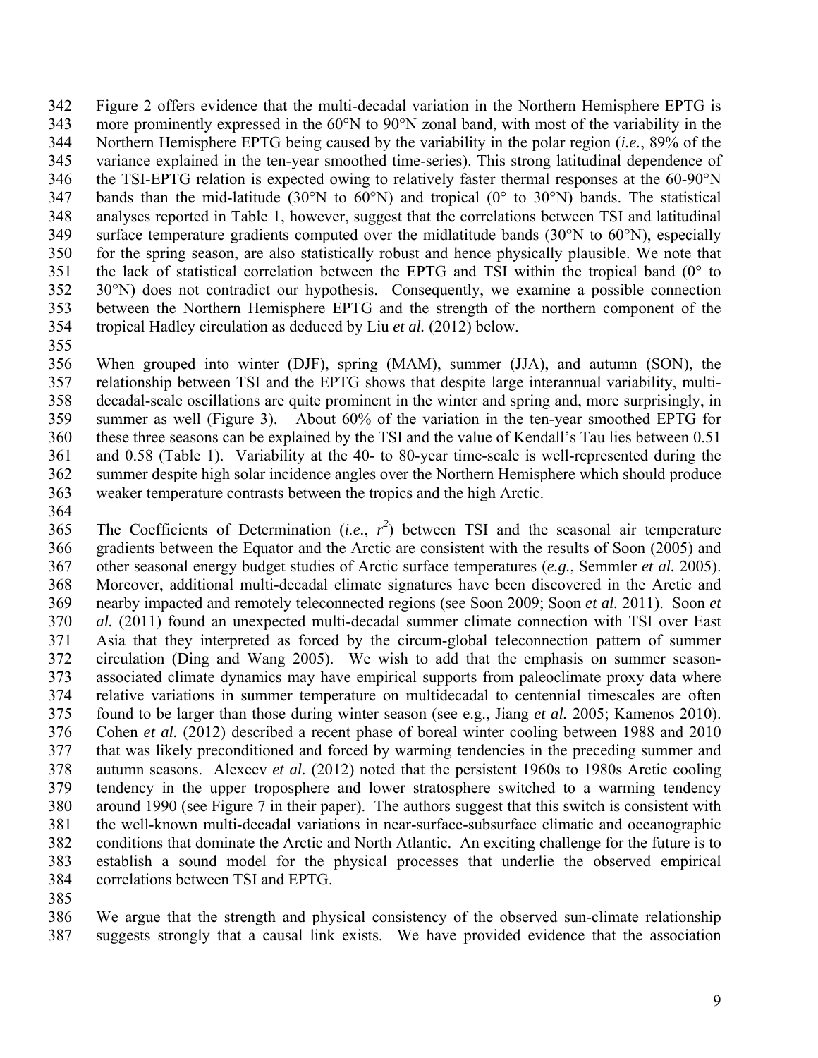342 Figure 2 offers evidence that the multi-decadal variation in the Northern Hemisphere EPTG is 343 more prominently expressed in the 60°N to 90°N zonal band, with most of the variability in the 344 Northern Hemisphere EPTG being caused by the variability in the polar region (*i.e.*, 89% of the 345 variance explained in the ten-year smoothed time-series). This strong latitudinal dependence of 346 the TSI-EPTG relation is expected owing to relatively faster thermal responses at the 60-90°N 347 bands than the mid-latitude (30°N to 60°N) and tropical (0° to 30°N) bands. The statistical 348 analyses reported in Table 1, however, suggest that the correlations between TSI and latitudinal 349 surface temperature gradients computed over the midlatitude bands (30°N to 60°N), especially 350 for the spring season, are also statistically robust and hence physically plausible. We note that 351 the lack of statistical correlation between the EPTG and TSI within the tropical band  $(0^{\circ}$  to 352 30°N) does not contradict our hypothesis. Consequently, we examine a possible connection 353 between the Northern Hemisphere EPTG and the strength of the northern component of the 354 tropical Hadley circulation as deduced by Liu *et al.* (2012) below.

355

356 When grouped into winter (DJF), spring (MAM), summer (JJA), and autumn (SON), the 357 relationship between TSI and the EPTG shows that despite large interannual variability, multi-358 decadal-scale oscillations are quite prominent in the winter and spring and, more surprisingly, in 359 summer as well (Figure 3). About 60% of the variation in the ten-year smoothed EPTG for 360 these three seasons can be explained by the TSI and the value of Kendall's Tau lies between 0.51 361 and 0.58 (Table 1). Variability at the 40- to 80-year time-scale is well-represented during the 362 summer despite high solar incidence angles over the Northern Hemisphere which should produce 363 weaker temperature contrasts between the tropics and the high Arctic.

364

365 The Coefficients of Determination (*i.e.*,  $r^2$ ) between TSI and the seasonal air temperature 366 gradients between the Equator and the Arctic are consistent with the results of Soon (2005) and 367 other seasonal energy budget studies of Arctic surface temperatures (*e.g.*, Semmler *et al.* 2005). 368 Moreover, additional multi-decadal climate signatures have been discovered in the Arctic and 369 nearby impacted and remotely teleconnected regions (see Soon 2009; Soon *et al.* 2011). Soon *et*  370 *al.* (2011) found an unexpected multi-decadal summer climate connection with TSI over East 371 Asia that they interpreted as forced by the circum-global teleconnection pattern of summer 372 circulation (Ding and Wang 2005). We wish to add that the emphasis on summer season-373 associated climate dynamics may have empirical supports from paleoclimate proxy data where 374 relative variations in summer temperature on multidecadal to centennial timescales are often 375 found to be larger than those during winter season (see e.g., Jiang *et al.* 2005; Kamenos 2010). 376 Cohen *et al.* (2012) described a recent phase of boreal winter cooling between 1988 and 2010 377 that was likely preconditioned and forced by warming tendencies in the preceding summer and 378 autumn seasons. Alexeev *et al.* (2012) noted that the persistent 1960s to 1980s Arctic cooling 379 tendency in the upper troposphere and lower stratosphere switched to a warming tendency 380 around 1990 (see Figure 7 in their paper). The authors suggest that this switch is consistent with 381 the well-known multi-decadal variations in near-surface-subsurface climatic and oceanographic 382 conditions that dominate the Arctic and North Atlantic. An exciting challenge for the future is to 383 establish a sound model for the physical processes that underlie the observed empirical 384 correlations between TSI and EPTG.

385

386 We argue that the strength and physical consistency of the observed sun-climate relationship 387 suggests strongly that a causal link exists. We have provided evidence that the association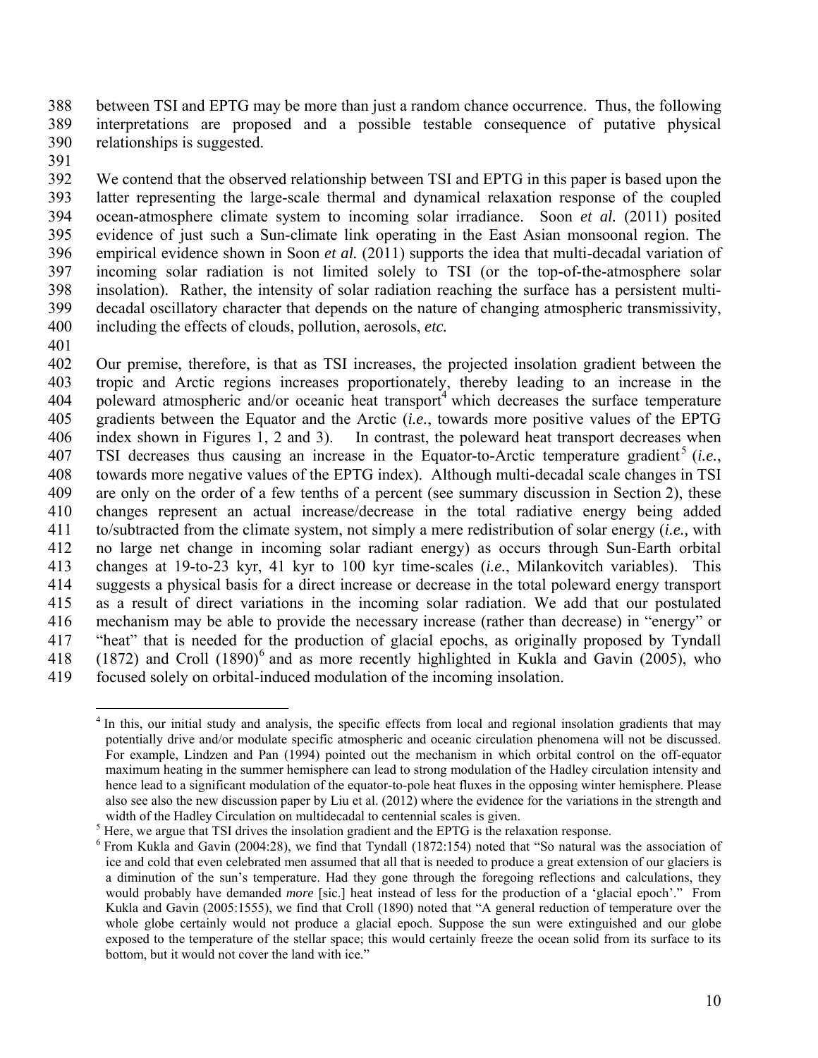388 between TSI and EPTG may be more than just a random chance occurrence. Thus, the following 389 interpretations are proposed and a possible testable consequence of putative physical 390 relationships is suggested.

391

392 We contend that the observed relationship between TSI and EPTG in this paper is based upon the 393 latter representing the large-scale thermal and dynamical relaxation response of the coupled 394 ocean-atmosphere climate system to incoming solar irradiance. Soon *et al.* (2011) posited 395 evidence of just such a Sun-climate link operating in the East Asian monsoonal region. The 396 empirical evidence shown in Soon *et al.* (2011) supports the idea that multi-decadal variation of 397 incoming solar radiation is not limited solely to TSI (or the top-of-the-atmosphere solar 398 insolation). Rather, the intensity of solar radiation reaching the surface has a persistent multi-399 decadal oscillatory character that depends on the nature of changing atmospheric transmissivity, 400 including the effects of clouds, pollution, aerosols, *etc.*

401

402 Our premise, therefore, is that as TSI increases, the projected insolation gradient between the 403 tropic and Arctic regions increases proportionately, thereby leading to an increase in the 404 poleward atmospheric and/or oceanic heat transport<sup>4</sup> which decreases the surface temperature 405 gradients between the Equator and the Arctic (*i.e.*, towards more positive values of the EPTG 406 index shown in Figures 1, 2 and 3). In contrast, the poleward heat transport decreases when 407 TSI decreases thus causing an increase in the Equator-to-Arctic temperature gradient<sup>5</sup> (*i.e.*, 408 towards more negative values of the EPTG index). Although multi-decadal scale changes in TSI 409 are only on the order of a few tenths of a percent (see summary discussion in Section 2), these 410 changes represent an actual increase/decrease in the total radiative energy being added 411 to/subtracted from the climate system, not simply a mere redistribution of solar energy (*i.e.,* with 412 no large net change in incoming solar radiant energy) as occurs through Sun-Earth orbital 413 changes at 19-to-23 kyr, 41 kyr to 100 kyr time-scales (*i.e.*, Milankovitch variables). This 414 suggests a physical basis for a direct increase or decrease in the total poleward energy transport 415 as a result of direct variations in the incoming solar radiation. We add that our postulated 416 mechanism may be able to provide the necessary increase (rather than decrease) in "energy" or 417 "heat" that is needed for the production of glacial epochs, as originally proposed by Tyndall 418 (1872) and Croll  $(1890)^6$  and as more recently highlighted in Kukla and Gavin (2005), who 419 focused solely on orbital-induced modulation of the incoming insolation.

 $\overline{a}$ <sup>4</sup> In this, our initial study and analysis, the specific effects from local and regional insolation gradients that may potentially drive and/or modulate specific atmospheric and oceanic circulation phenomena will not be discussed. For example, Lindzen and Pan (1994) pointed out the mechanism in which orbital control on the off-equator maximum heating in the summer hemisphere can lead to strong modulation of the Hadley circulation intensity and hence lead to a significant modulation of the equator-to-pole heat fluxes in the opposing winter hemisphere. Please also see also the new discussion paper by Liu et al. (2012) where the evidence for the variations in the strength and width of the Hadley Circulation on multidecadal to centennial scales is given.

<sup>&</sup>lt;sup>5</sup> Here, we argue that TSI drives the insolation gradient and the EPTG is the relaxation response.

<sup>&</sup>lt;sup>6</sup> From Kukla and Gavin (2004:28), we find that Tyndall (1872:154) noted that "So natural was the association of ice and cold that even celebrated men assumed that all that is needed to produce a great extension of our glaciers is a diminution of the sun's temperature. Had they gone through the foregoing reflections and calculations, they would probably have demanded *more* [sic.] heat instead of less for the production of a 'glacial epoch'." From Kukla and Gavin (2005:1555), we find that Croll (1890) noted that "A general reduction of temperature over the whole globe certainly would not produce a glacial epoch. Suppose the sun were extinguished and our globe exposed to the temperature of the stellar space; this would certainly freeze the ocean solid from its surface to its bottom, but it would not cover the land with ice."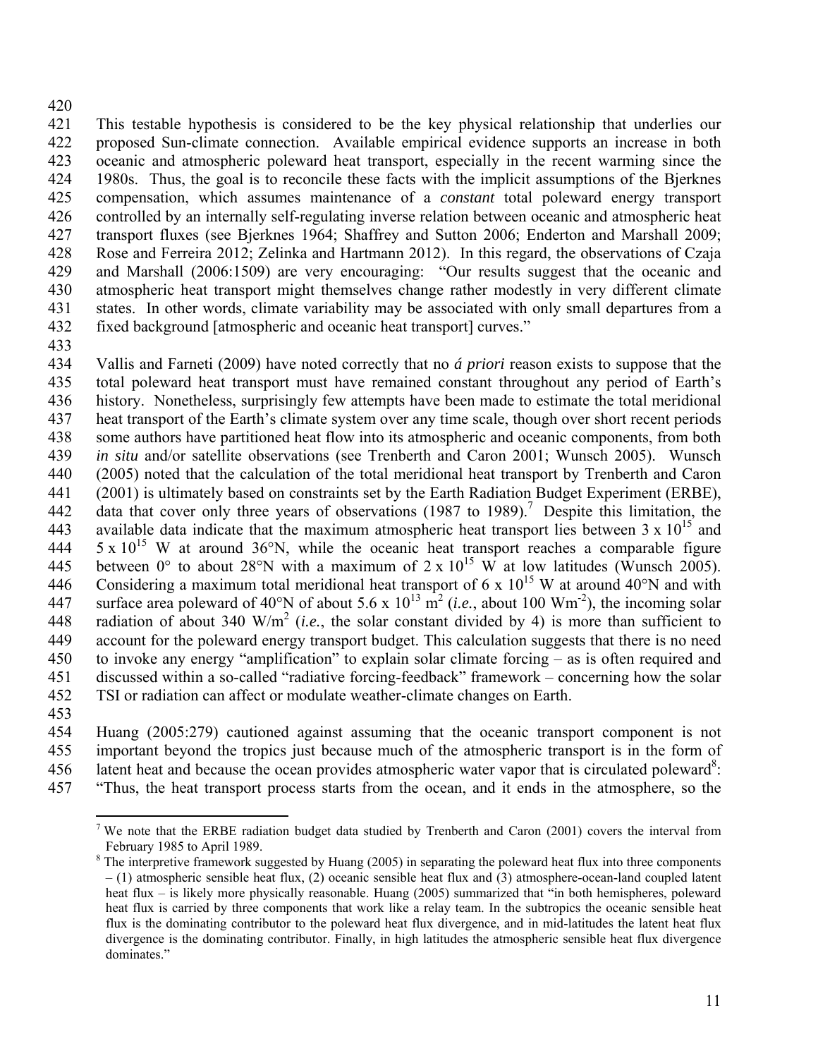### 420

421 This testable hypothesis is considered to be the key physical relationship that underlies our 422 proposed Sun-climate connection. Available empirical evidence supports an increase in both 423 oceanic and atmospheric poleward heat transport, especially in the recent warming since the 424 1980s. Thus, the goal is to reconcile these facts with the implicit assumptions of the Bjerknes 425 compensation, which assumes maintenance of a *constant* total poleward energy transport 426 controlled by an internally self-regulating inverse relation between oceanic and atmospheric heat 427 transport fluxes (see Bjerknes 1964; Shaffrey and Sutton 2006; Enderton and Marshall 2009; 428 Rose and Ferreira 2012; Zelinka and Hartmann 2012). In this regard, the observations of Czaja 429 and Marshall (2006:1509) are very encouraging: "Our results suggest that the oceanic and 430 atmospheric heat transport might themselves change rather modestly in very different climate 431 states. In other words, climate variability may be associated with only small departures from a 432 fixed background [atmospheric and oceanic heat transport] curves."

433

434 Vallis and Farneti (2009) have noted correctly that no *á priori* reason exists to suppose that the 435 total poleward heat transport must have remained constant throughout any period of Earth's 436 history. Nonetheless, surprisingly few attempts have been made to estimate the total meridional 437 heat transport of the Earth's climate system over any time scale, though over short recent periods 438 some authors have partitioned heat flow into its atmospheric and oceanic components, from both 439 *in situ* and/or satellite observations (see Trenberth and Caron 2001; Wunsch 2005). Wunsch 440 (2005) noted that the calculation of the total meridional heat transport by Trenberth and Caron 441 (2001) is ultimately based on constraints set by the Earth Radiation Budget Experiment (ERBE), 442 data that cover only three years of observations  $(1987$  to 1989).<sup>7</sup> Despite this limitation, the 443 available data indicate that the maximum atmospheric heat transport lies between  $3 \times 10^{15}$  and 444  $\,$  5 x 10<sup>15</sup> W at around 36°N, while the oceanic heat transport reaches a comparable figure 445 between 0° to about 28°N with a maximum of  $2 \times 10^{15}$  W at low latitudes (Wunsch 2005). 446 Considering a maximum total meridional heat transport of 6 x  $10^{15}$  W at around 40°N and with 447 surface area poleward of 40°N of about 5.6 x  $10^{13}$  m<sup>2</sup> (*i.e.*, about 100 Wm<sup>-2</sup>), the incoming solar radiation of about 340 W/m2 448 (*i.e.*, the solar constant divided by 4) is more than sufficient to 449 account for the poleward energy transport budget. This calculation suggests that there is no need 450 to invoke any energy "amplification" to explain solar climate forcing – as is often required and 451 discussed within a so-called "radiative forcing-feedback" framework – concerning how the solar 452 TSI or radiation can affect or modulate weather-climate changes on Earth.

453

 $\overline{a}$ 

454 Huang (2005:279) cautioned against assuming that the oceanic transport component is not 455 important beyond the tropics just because much of the atmospheric transport is in the form of 456 latent heat and because the ocean provides atmospheric water vapor that is circulated poleward<sup>8</sup>: 457 "Thus, the heat transport process starts from the ocean, and it ends in the atmosphere, so the

<sup>&</sup>lt;sup>7</sup> We note that the ERBE radiation budget data studied by Trenberth and Caron (2001) covers the interval from February 1985 to April 1989.

 $8$  The interpretive framework suggested by Huang (2005) in separating the poleward heat flux into three components – (1) atmospheric sensible heat flux, (2) oceanic sensible heat flux and (3) atmosphere-ocean-land coupled latent heat flux – is likely more physically reasonable. Huang (2005) summarized that "in both hemispheres, poleward heat flux is carried by three components that work like a relay team. In the subtropics the oceanic sensible heat flux is the dominating contributor to the poleward heat flux divergence, and in mid-latitudes the latent heat flux divergence is the dominating contributor. Finally, in high latitudes the atmospheric sensible heat flux divergence dominates."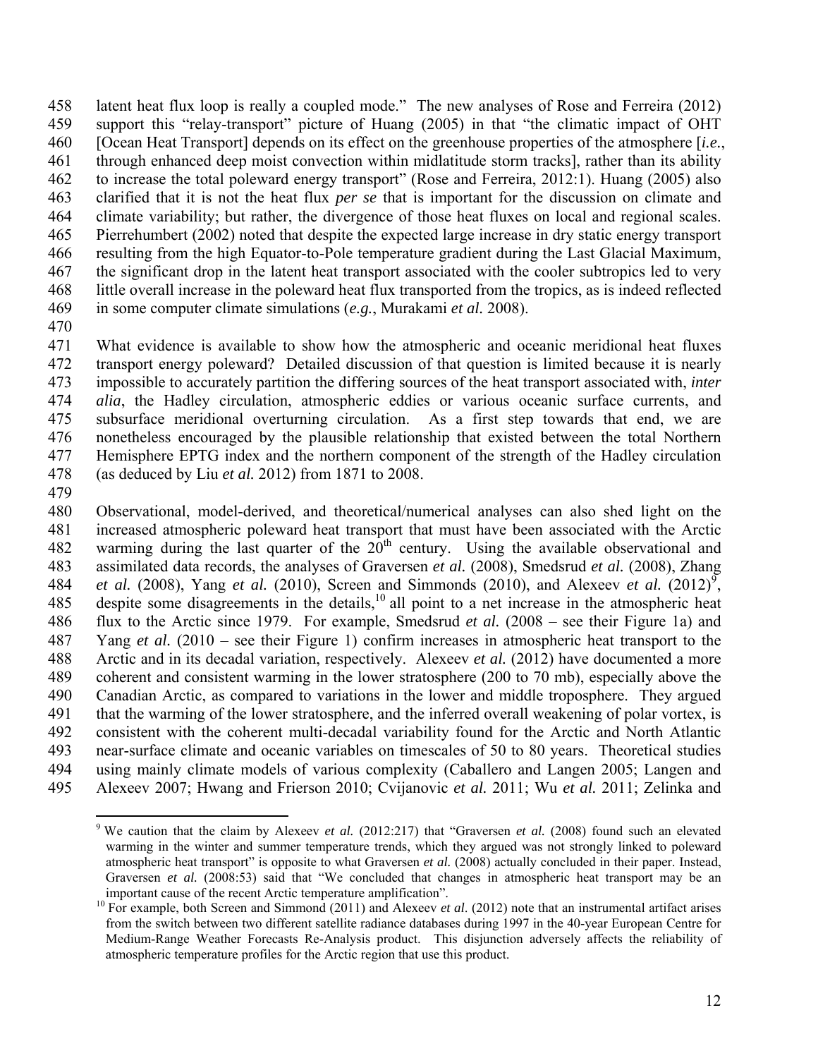458 latent heat flux loop is really a coupled mode." The new analyses of Rose and Ferreira (2012) 459 support this "relay-transport" picture of Huang (2005) in that "the climatic impact of OHT 460 [Ocean Heat Transport] depends on its effect on the greenhouse properties of the atmosphere [*i.e.*, 461 through enhanced deep moist convection within midlatitude storm tracks], rather than its ability 462 to increase the total poleward energy transport" (Rose and Ferreira, 2012:1). Huang (2005) also 463 clarified that it is not the heat flux *per se* that is important for the discussion on climate and 464 climate variability; but rather, the divergence of those heat fluxes on local and regional scales. 465 Pierrehumbert (2002) noted that despite the expected large increase in dry static energy transport 466 resulting from the high Equator-to-Pole temperature gradient during the Last Glacial Maximum, 467 the significant drop in the latent heat transport associated with the cooler subtropics led to very 468 little overall increase in the poleward heat flux transported from the tropics, as is indeed reflected 469 in some computer climate simulations (*e.g.*, Murakami *et al.* 2008).

470

471 What evidence is available to show how the atmospheric and oceanic meridional heat fluxes 472 transport energy poleward? Detailed discussion of that question is limited because it is nearly 473 impossible to accurately partition the differing sources of the heat transport associated with, *inter*  474 *alia*, the Hadley circulation, atmospheric eddies or various oceanic surface currents, and 475 subsurface meridional overturning circulation. As a first step towards that end, we are 476 nonetheless encouraged by the plausible relationship that existed between the total Northern 477 Hemisphere EPTG index and the northern component of the strength of the Hadley circulation 478 (as deduced by Liu *et al.* 2012) from 1871 to 2008.

479

480 Observational, model-derived, and theoretical/numerical analyses can also shed light on the 481 increased atmospheric poleward heat transport that must have been associated with the Arctic 482 warming during the last quarter of the  $20<sup>th</sup>$  century. Using the available observational and 483 assimilated data records, the analyses of Graversen *et al.* (2008), Smedsrud *et al.* (2008), Zhang 484 *et al.* (2008), Yang *et al.* (2010), Screen and Simmonds (2010), and Alexeev *et al.* (2012)<sup>9</sup>, 485 despite some disagreements in the details, $10$  all point to a net increase in the atmospheric heat 486 flux to the Arctic since 1979. For example, Smedsrud *et al.* (2008 – see their Figure 1a) and 487 Yang *et al.* (2010 – see their Figure 1) confirm increases in atmospheric heat transport to the 488 Arctic and in its decadal variation, respectively. Alexeev *et al.* (2012) have documented a more 489 coherent and consistent warming in the lower stratosphere (200 to 70 mb), especially above the 490 Canadian Arctic, as compared to variations in the lower and middle troposphere. They argued 491 that the warming of the lower stratosphere, and the inferred overall weakening of polar vortex, is 492 consistent with the coherent multi-decadal variability found for the Arctic and North Atlantic 493 near-surface climate and oceanic variables on timescales of 50 to 80 years. Theoretical studies 494 using mainly climate models of various complexity (Caballero and Langen 2005; Langen and 495 Alexeev 2007; Hwang and Frierson 2010; Cvijanovic *et al.* 2011; Wu *et al.* 2011; Zelinka and

<sup>1</sup> <sup>9</sup> We caution that the claim by Alexeev *et al.* (2012:217) that "Graversen *et al.* (2008) found such an elevated warming in the winter and summer temperature trends, which they argued was not strongly linked to poleward atmospheric heat transport" is opposite to what Graversen *et al.* (2008) actually concluded in their paper. Instead, Graversen *et al.* (2008:53) said that "We concluded that changes in atmospheric heat transport may be an important cause of the recent Arctic temperature amplification". 10 For example, both Screen and Simmond (2011) and Alexeev *et al*. (2012) note that an instrumental artifact arises

from the switch between two different satellite radiance databases during 1997 in the 40-year European Centre for Medium-Range Weather Forecasts Re-Analysis product. This disjunction adversely affects the reliability of atmospheric temperature profiles for the Arctic region that use this product.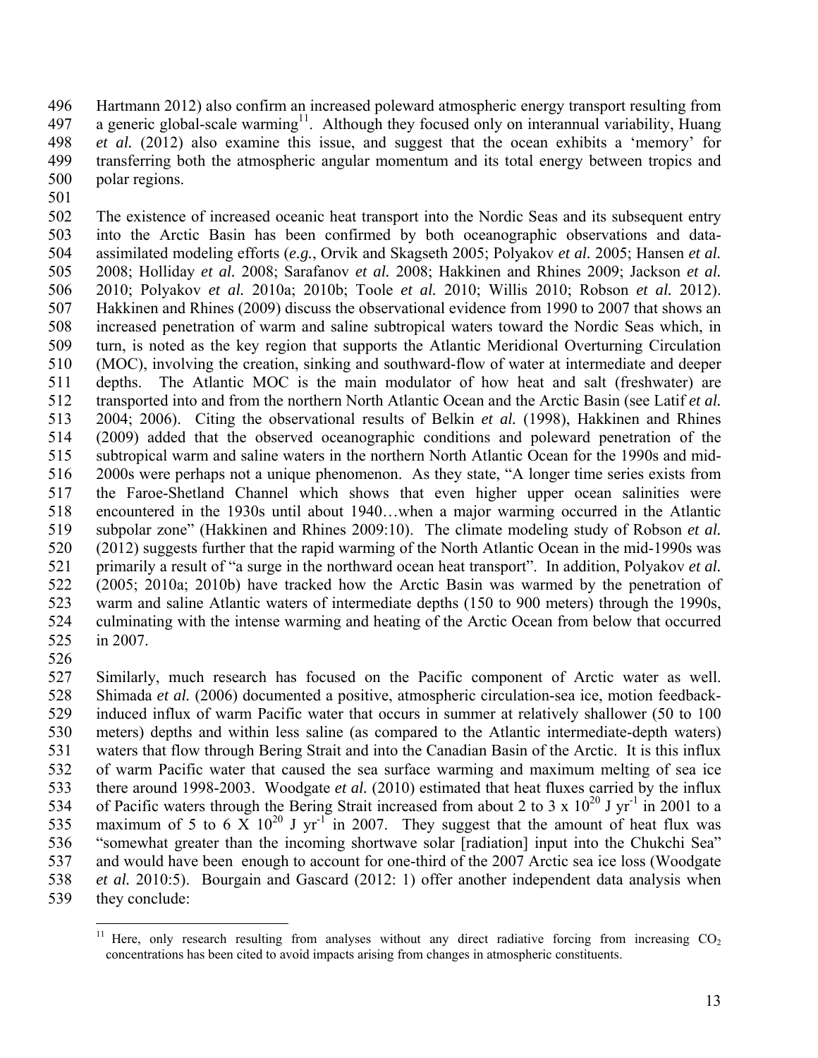496 Hartmann 2012) also confirm an increased poleward atmospheric energy transport resulting from 497 a generic global-scale warming<sup>11</sup>. Although they focused only on interannual variability, Huang 498 *et al.* (2012) also examine this issue, and suggest that the ocean exhibits a 'memory' for 499 transferring both the atmospheric angular momentum and its total energy between tropics and 500 polar regions.

501

502 The existence of increased oceanic heat transport into the Nordic Seas and its subsequent entry 503 into the Arctic Basin has been confirmed by both oceanographic observations and data-504 assimilated modeling efforts (*e.g.*, Orvik and Skagseth 2005; Polyakov *et al.* 2005; Hansen *et al.* 505 2008; Holliday *et al.* 2008; Sarafanov *et al.* 2008; Hakkinen and Rhines 2009; Jackson *et al.* 506 2010; Polyakov *et al.* 2010a; 2010b; Toole *et al.* 2010; Willis 2010; Robson *et al.* 2012). 507 Hakkinen and Rhines (2009) discuss the observational evidence from 1990 to 2007 that shows an 508 increased penetration of warm and saline subtropical waters toward the Nordic Seas which, in 509 turn, is noted as the key region that supports the Atlantic Meridional Overturning Circulation 510 (MOC), involving the creation, sinking and southward-flow of water at intermediate and deeper 511 depths. The Atlantic MOC is the main modulator of how heat and salt (freshwater) are 512 transported into and from the northern North Atlantic Ocean and the Arctic Basin (see Latif *et al.* 513 2004; 2006). Citing the observational results of Belkin *et al.* (1998), Hakkinen and Rhines 514 (2009) added that the observed oceanographic conditions and poleward penetration of the 515 subtropical warm and saline waters in the northern North Atlantic Ocean for the 1990s and mid-516 2000s were perhaps not a unique phenomenon. As they state, "A longer time series exists from 517 the Faroe-Shetland Channel which shows that even higher upper ocean salinities were 518 encountered in the 1930s until about 1940…when a major warming occurred in the Atlantic 519 subpolar zone" (Hakkinen and Rhines 2009:10). The climate modeling study of Robson *et al.* 520 (2012) suggests further that the rapid warming of the North Atlantic Ocean in the mid-1990s was 521 primarily a result of "a surge in the northward ocean heat transport". In addition, Polyakov *et al.* 522 (2005; 2010a; 2010b) have tracked how the Arctic Basin was warmed by the penetration of 523 warm and saline Atlantic waters of intermediate depths (150 to 900 meters) through the 1990s, 524 culminating with the intense warming and heating of the Arctic Ocean from below that occurred 525 in 2007.

526

527 Similarly, much research has focused on the Pacific component of Arctic water as well. 528 Shimada *et al.* (2006) documented a positive, atmospheric circulation-sea ice, motion feedback-529 induced influx of warm Pacific water that occurs in summer at relatively shallower (50 to 100 530 meters) depths and within less saline (as compared to the Atlantic intermediate-depth waters) 531 waters that flow through Bering Strait and into the Canadian Basin of the Arctic. It is this influx 532 of warm Pacific water that caused the sea surface warming and maximum melting of sea ice 533 there around 1998-2003. Woodgate *et al.* (2010) estimated that heat fluxes carried by the influx 534 of Pacific waters through the Bering Strait increased from about 2 to 3 x  $10^{20}$  J yr<sup>-1</sup> in 2001 to a 535 maximum of 5 to 6  $\overline{X}$  10<sup>20</sup> J yr<sup>-1</sup> in 2007. They suggest that the amount of heat flux was 536 "somewhat greater than the incoming shortwave solar [radiation] input into the Chukchi Sea" 537 and would have been enough to account for one-third of the 2007 Arctic sea ice loss (Woodgate 538 *et al.* 2010:5). Bourgain and Gascard (2012: 1) offer another independent data analysis when 539 they conclude:

 $11\,$ Here, only research resulting from analyses without any direct radiative forcing from increasing  $CO<sub>2</sub>$ concentrations has been cited to avoid impacts arising from changes in atmospheric constituents.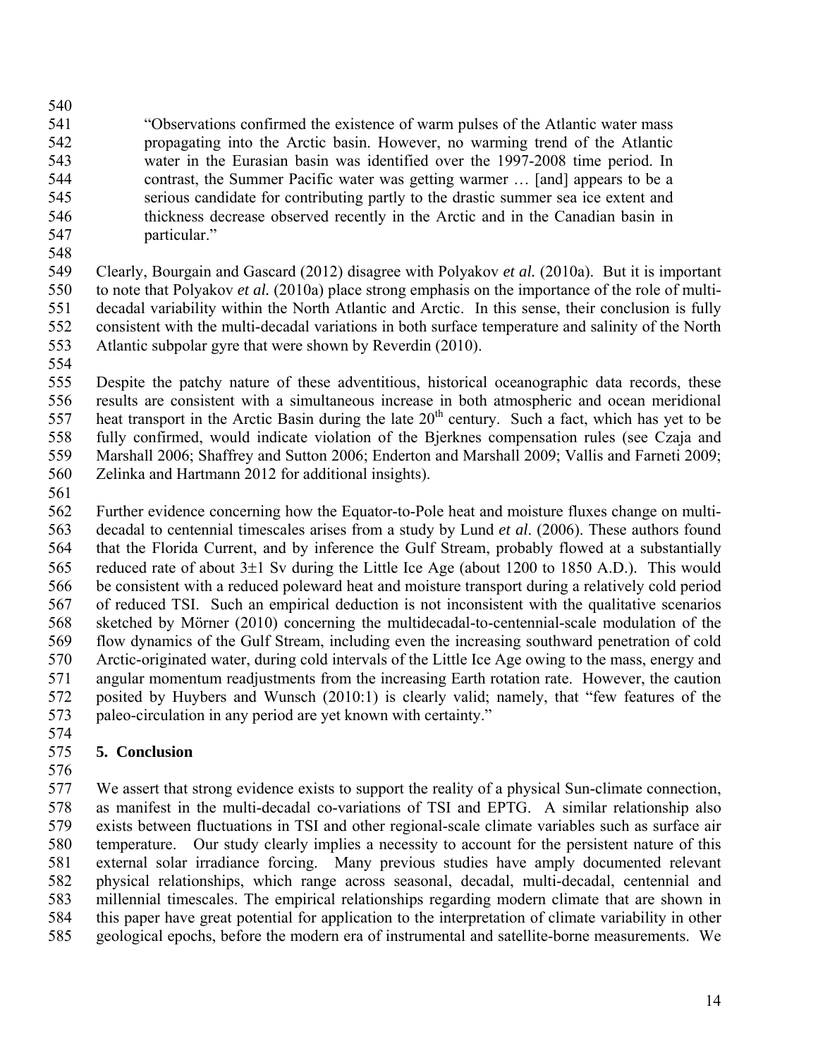540 541 "Observations confirmed the existence of warm pulses of the Atlantic water mass 542 propagating into the Arctic basin. However, no warming trend of the Atlantic 543 water in the Eurasian basin was identified over the 1997-2008 time period. In 544 contrast, the Summer Pacific water was getting warmer … [and] appears to be a 545 serious candidate for contributing partly to the drastic summer sea ice extent and 546 thickness decrease observed recently in the Arctic and in the Canadian basin in 547 particular."

548

549 Clearly, Bourgain and Gascard (2012) disagree with Polyakov *et al.* (2010a). But it is important 550 to note that Polyakov *et al.* (2010a) place strong emphasis on the importance of the role of multi-551 decadal variability within the North Atlantic and Arctic. In this sense, their conclusion is fully 552 consistent with the multi-decadal variations in both surface temperature and salinity of the North 553 Atlantic subpolar gyre that were shown by Reverdin (2010).

554

555 Despite the patchy nature of these adventitious, historical oceanographic data records, these 556 results are consistent with a simultaneous increase in both atmospheric and ocean meridional 557 heat transport in the Arctic Basin during the late  $20<sup>th</sup>$  century. Such a fact, which has yet to be 558 fully confirmed, would indicate violation of the Bjerknes compensation rules (see Czaja and 559 Marshall 2006; Shaffrey and Sutton 2006; Enderton and Marshall 2009; Vallis and Farneti 2009; 560 Zelinka and Hartmann 2012 for additional insights).

561

562 Further evidence concerning how the Equator-to-Pole heat and moisture fluxes change on multi-563 decadal to centennial timescales arises from a study by Lund *et al*. (2006). These authors found 564 that the Florida Current, and by inference the Gulf Stream, probably flowed at a substantially 565 reduced rate of about 3±1 Sv during the Little Ice Age (about 1200 to 1850 A.D.). This would 566 be consistent with a reduced poleward heat and moisture transport during a relatively cold period 567 of reduced TSI. Such an empirical deduction is not inconsistent with the qualitative scenarios 568 sketched by Mörner (2010) concerning the multidecadal-to-centennial-scale modulation of the 569 flow dynamics of the Gulf Stream, including even the increasing southward penetration of cold 570 Arctic-originated water, during cold intervals of the Little Ice Age owing to the mass, energy and 571 angular momentum readjustments from the increasing Earth rotation rate. However, the caution 572 posited by Huybers and Wunsch (2010:1) is clearly valid; namely, that "few features of the 573 paleo-circulation in any period are yet known with certainty."

574

# 575 **5. Conclusion**

576

577 We assert that strong evidence exists to support the reality of a physical Sun-climate connection, 578 as manifest in the multi-decadal co-variations of TSI and EPTG. A similar relationship also 579 exists between fluctuations in TSI and other regional-scale climate variables such as surface air 580 temperature. Our study clearly implies a necessity to account for the persistent nature of this 581 external solar irradiance forcing. Many previous studies have amply documented relevant 582 physical relationships, which range across seasonal, decadal, multi-decadal, centennial and 583 millennial timescales. The empirical relationships regarding modern climate that are shown in 584 this paper have great potential for application to the interpretation of climate variability in other 585 geological epochs, before the modern era of instrumental and satellite-borne measurements. We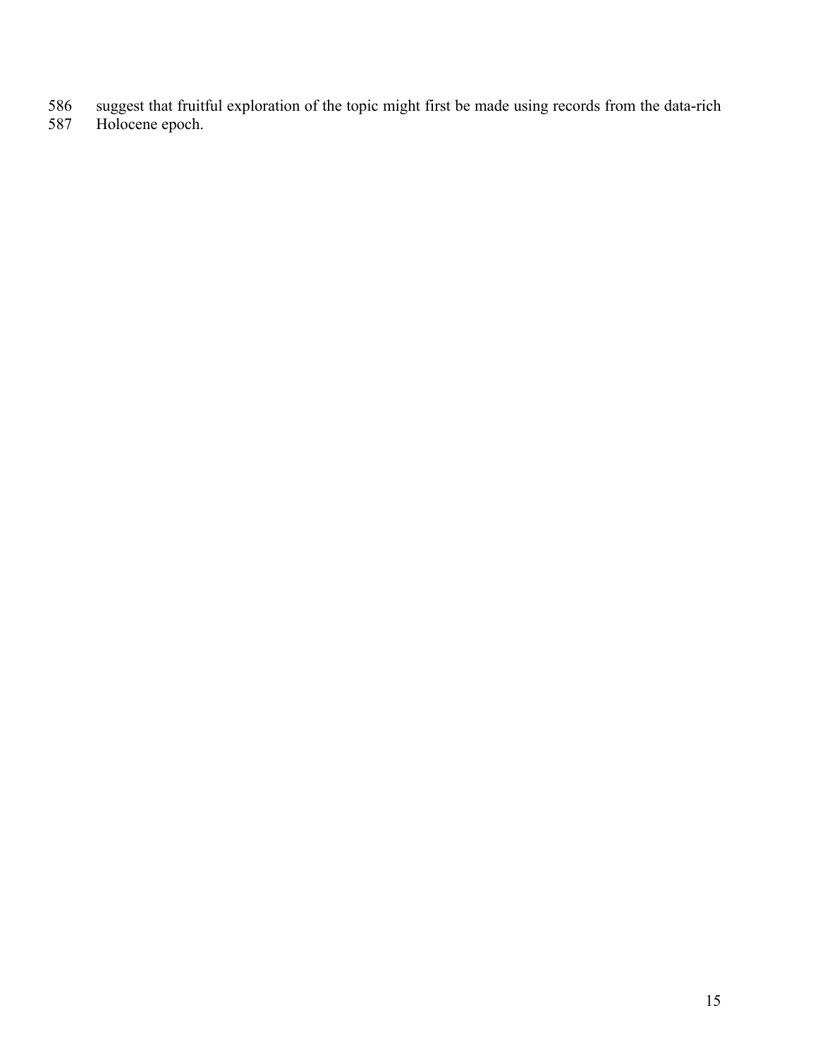- 586 suggest that fruitful exploration of the topic might first be made using records from the data-rich
- 587 Holocene epoch.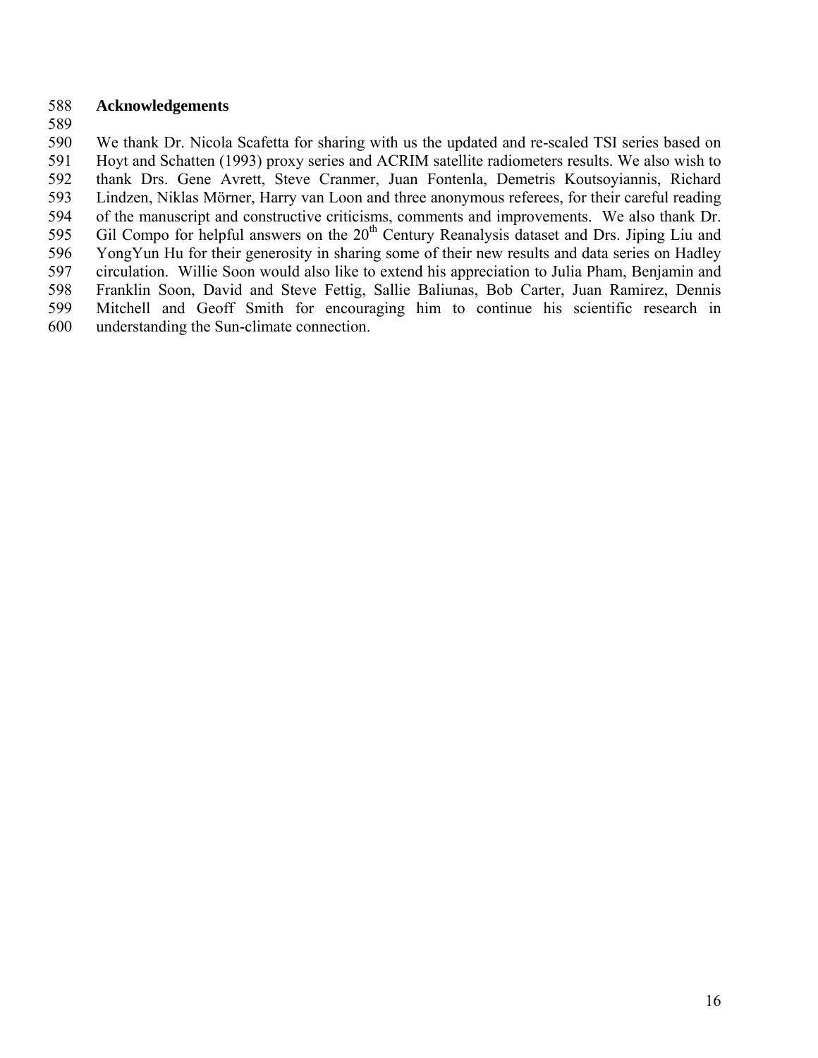### 588 **Acknowledgements**

589

590 We thank Dr. Nicola Scafetta for sharing with us the updated and re-scaled TSI series based on 591 Hoyt and Schatten (1993) proxy series and ACRIM satellite radiometers results. We also wish to 592 thank Drs. Gene Avrett, Steve Cranmer, Juan Fontenla, Demetris Koutsoyiannis, Richard 593 Lindzen, Niklas Mörner, Harry van Loon and three anonymous referees, for their careful reading 594 of the manuscript and constructive criticisms, comments and improvements. We also thank Dr. 595 Gil Compo for helpful answers on the 20<sup>th</sup> Century Reanalysis dataset and Drs. Jiping Liu and 596 YongYun Hu for their generosity in sharing some of their new results and data series on Hadley 597 circulation. Willie Soon would also like to extend his appreciation to Julia Pham, Benjamin and 598 Franklin Soon, David and Steve Fettig, Sallie Baliunas, Bob Carter, Juan Ramirez, Dennis 599 Mitchell and Geoff Smith for encouraging him to continue his scientific research in 600 understanding the Sun-climate connection.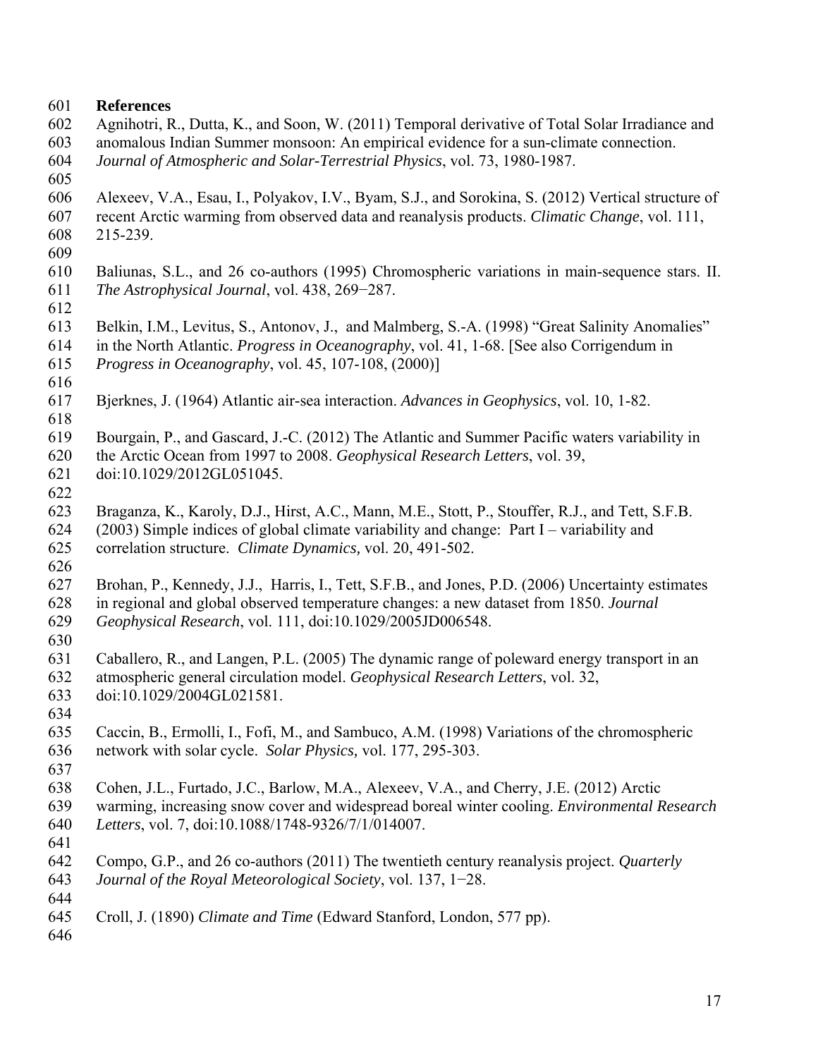### 601 **References**

- 602 Agnihotri, R., Dutta, K., and Soon, W. (2011) Temporal derivative of Total Solar Irradiance and 603 anomalous Indian Summer monsoon: An empirical evidence for a sun-climate connection.
- 604 *Journal of Atmospheric and Solar-Terrestrial Physics*, vol. 73, 1980-1987.
- 605
- 606 Alexeev, V.A., Esau, I., Polyakov, I.V., Byam, S.J., and Sorokina, S. (2012) Vertical structure of
- 607 recent Arctic warming from observed data and reanalysis products. *Climatic Change*, vol. 111, 608 215-239.
- 609
- 610 Baliunas, S.L., and 26 co-authors (1995) Chromospheric variations in main-sequence stars. II. 611 *The Astrophysical Journal*, vol. 438, 269−287.
- 612
- 613 Belkin, I.M., Levitus, S., Antonov, J., and Malmberg, S.-A. (1998) "Great Salinity Anomalies"
- 614 in the North Atlantic. *Progress in Oceanography*, vol. 41, 1-68. [See also Corrigendum in 615 *Progress in Oceanography*, vol. 45, 107-108, (2000)]
- 616
- 617 Bjerknes, J. (1964) Atlantic air-sea interaction. *Advances in Geophysics*, vol. 10, 1-82.
- 618
- 619 Bourgain, P., and Gascard, J.-C. (2012) The Atlantic and Summer Pacific waters variability in
- 620 the Arctic Ocean from 1997 to 2008. *Geophysical Research Letters*, vol. 39,
- 621 doi:10.1029/2012GL051045.
- 622
- 623 Braganza, K., Karoly, D.J., Hirst, A.C., Mann, M.E., Stott, P., Stouffer, R.J., and Tett, S.F.B. 624 (2003) Simple indices of global climate variability and change: Part I – variability and
- 625 correlation structure. *Climate Dynamics,* vol. 20, 491-502.
- 626
- 627 Brohan, P., Kennedy, J.J., Harris, I., Tett, S.F.B., and Jones, P.D. (2006) Uncertainty estimates
- 628 in regional and global observed temperature changes: a new dataset from 1850. *Journal*  629 *Geophysical Research*, vol. 111, doi:10.1029/2005JD006548.
- 630
- 631 Caballero, R., and Langen, P.L. (2005) The dynamic range of poleward energy transport in an
- 632 atmospheric general circulation model. *Geophysical Research Letters*, vol. 32,
- 633 doi:10.1029/2004GL021581.
- 634
- 635 Caccin, B., Ermolli, I., Fofi, M., and Sambuco, A.M. (1998) Variations of the chromospheric 636 network with solar cycle. *Solar Physics,* vol. 177, 295-303.
- 637
- 638 Cohen, J.L., Furtado, J.C., Barlow, M.A., Alexeev, V.A., and Cherry, J.E. (2012) Arctic
- 639 warming, increasing snow cover and widespread boreal winter cooling. *Environmental Research*
- 640 *Letters*, vol. 7, doi:10.1088/1748-9326/7/1/014007.
- 641
- 642 Compo, G.P., and 26 co-authors (2011) The twentieth century reanalysis project. *Quarterly*
- 643 *Journal of the Royal Meteorological Society*, vol. 137, 1−28. 644
- 645 Croll, J. (1890) *Climate and Time* (Edward Stanford, London, 577 pp).
- 646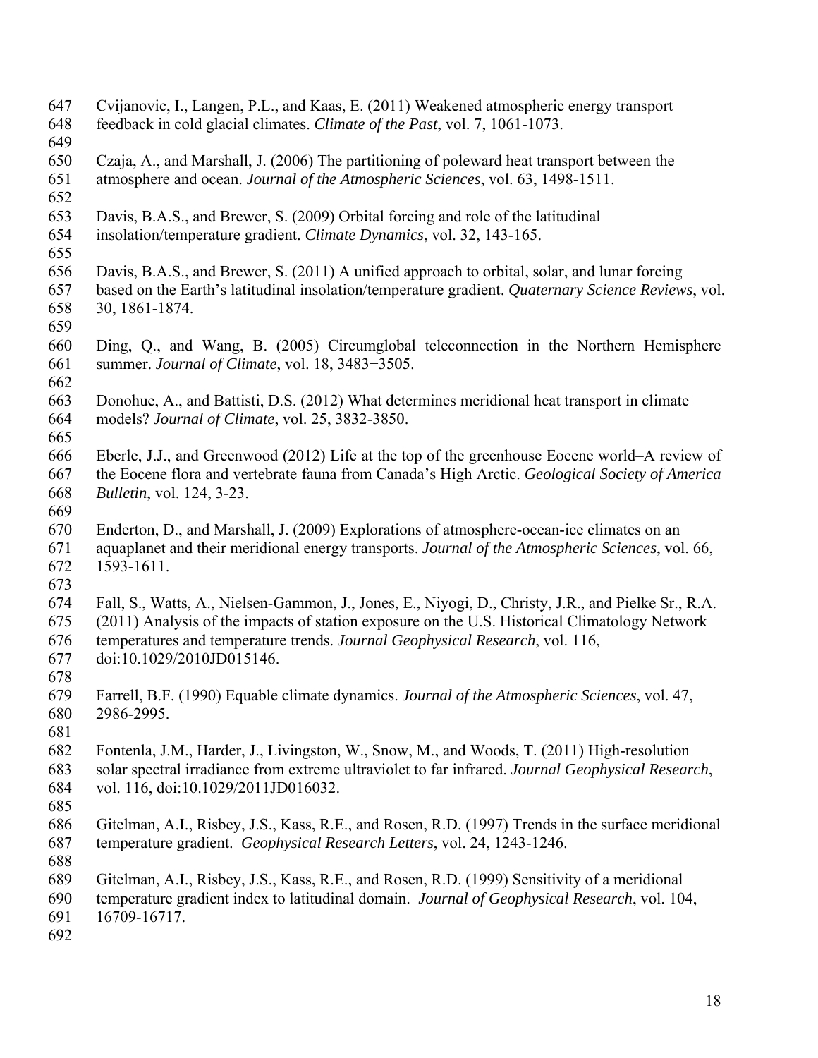648 feedback in cold glacial climates. *Climate of the Past*, vol. 7, 1061-1073. 649 650 Czaja, A., and Marshall, J. (2006) The partitioning of poleward heat transport between the 651 atmosphere and ocean. *Journal of the Atmospheric Sciences*, vol. 63, 1498-1511. 652 653 Davis, B.A.S., and Brewer, S. (2009) Orbital forcing and role of the latitudinal 654 insolation/temperature gradient. *Climate Dynamics*, vol. 32, 143-165. 655 656 Davis, B.A.S., and Brewer, S. (2011) A unified approach to orbital, solar, and lunar forcing 657 based on the Earth's latitudinal insolation/temperature gradient. *Quaternary Science Reviews*, vol. 658 30, 1861-1874. 659 660 Ding, Q., and Wang, B. (2005) Circumglobal teleconnection in the Northern Hemisphere 661 summer. *Journal of Climate*, vol. 18, 3483−3505. 662 663 Donohue, A., and Battisti, D.S. (2012) What determines meridional heat transport in climate 664 models? *Journal of Climate*, vol. 25, 3832-3850. 665 666 Eberle, J.J., and Greenwood (2012) Life at the top of the greenhouse Eocene world–A review of 667 the Eocene flora and vertebrate fauna from Canada's High Arctic. *Geological Society of America*  668 *Bulletin*, vol. 124, 3-23. 669 670 Enderton, D., and Marshall, J. (2009) Explorations of atmosphere-ocean-ice climates on an 671 aquaplanet and their meridional energy transports. *Journal of the Atmospheric Sciences*, vol. 66, 672 1593-1611. 673 674 Fall, S., Watts, A., Nielsen-Gammon, J., Jones, E., Niyogi, D., Christy, J.R., and Pielke Sr., R.A. 675 (2011) Analysis of the impacts of station exposure on the U.S. Historical Climatology Network 676 temperatures and temperature trends. *Journal Geophysical Research*, vol. 116, 677 doi:10.1029/2010JD015146. 678 679 Farrell, B.F. (1990) Equable climate dynamics. *Journal of the Atmospheric Sciences*, vol. 47, 680 2986-2995. 681 682 Fontenla, J.M., Harder, J., Livingston, W., Snow, M., and Woods, T. (2011) High-resolution 683 solar spectral irradiance from extreme ultraviolet to far infrared. *Journal Geophysical Research*, 684 vol. 116, doi:10.1029/2011JD016032. 685 686 Gitelman, A.I., Risbey, J.S., Kass, R.E., and Rosen, R.D. (1997) Trends in the surface meridional 687 temperature gradient. *Geophysical Research Letters*, vol. 24, 1243-1246. 688 689 Gitelman, A.I., Risbey, J.S., Kass, R.E., and Rosen, R.D. (1999) Sensitivity of a meridional 690 temperature gradient index to latitudinal domain. *Journal of Geophysical Research*, vol. 104, 691 16709-16717. 692

647 Cvijanovic, I., Langen, P.L., and Kaas, E. (2011) Weakened atmospheric energy transport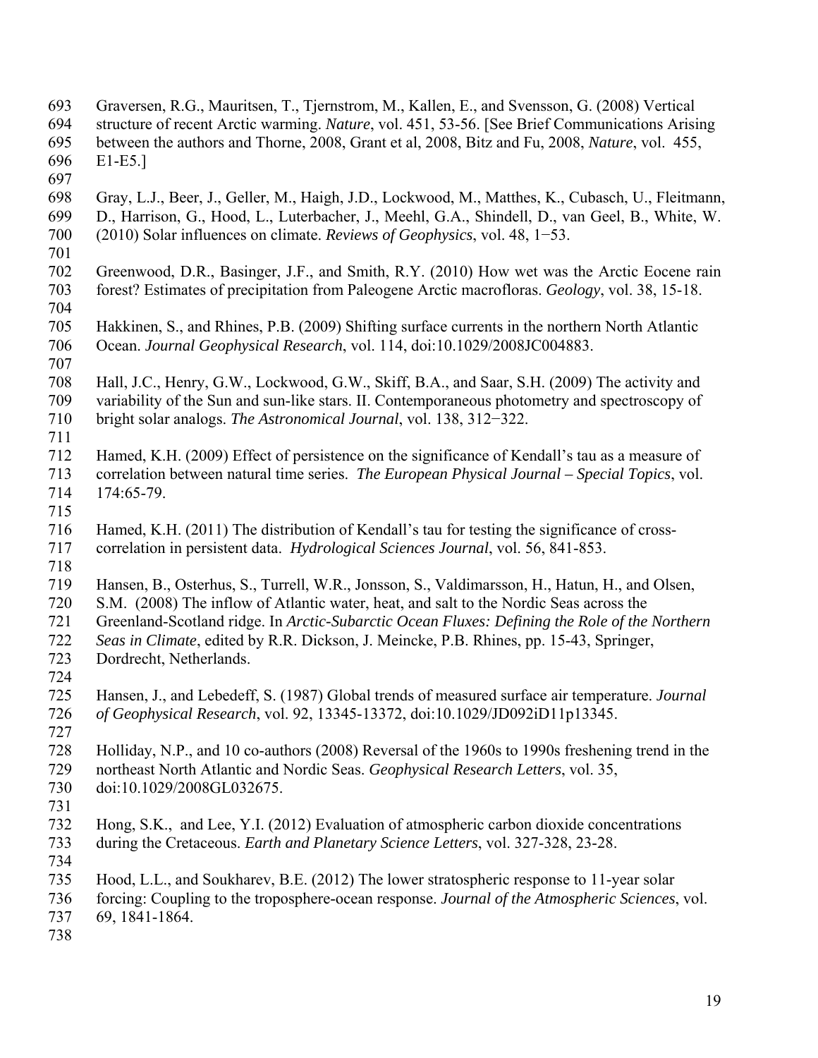| 693        | Graversen, R.G., Mauritsen, T., Tjernstrom, M., Kallen, E., and Svensson, G. (2008) Vertical      |
|------------|---------------------------------------------------------------------------------------------------|
| 694        | structure of recent Arctic warming. Nature, vol. 451, 53-56. [See Brief Communications Arising    |
| 695        | between the authors and Thorne, 2008, Grant et al, 2008, Bitz and Fu, 2008, Nature, vol. 455,     |
| 696        | $E1-E5.$                                                                                          |
| 697        |                                                                                                   |
| 698        | Gray, L.J., Beer, J., Geller, M., Haigh, J.D., Lockwood, M., Matthes, K., Cubasch, U., Fleitmann, |
| 699        | D., Harrison, G., Hood, L., Luterbacher, J., Meehl, G.A., Shindell, D., van Geel, B., White, W.   |
| 700        | $(2010)$ Solar influences on climate. Reviews of Geophysics, vol. 48, 1–53.                       |
| 701        |                                                                                                   |
| 702        | Greenwood, D.R., Basinger, J.F., and Smith, R.Y. (2010) How wet was the Arctic Eocene rain        |
| 703        | forest? Estimates of precipitation from Paleogene Arctic macrofloras. Geology, vol. 38, 15-18.    |
| 704        |                                                                                                   |
| 705        | Hakkinen, S., and Rhines, P.B. (2009) Shifting surface currents in the northern North Atlantic    |
| 706        | Ocean. Journal Geophysical Research, vol. 114, doi:10.1029/2008JC004883.                          |
| 707        |                                                                                                   |
| 708        | Hall, J.C., Henry, G.W., Lockwood, G.W., Skiff, B.A., and Saar, S.H. (2009) The activity and      |
| 709        | variability of the Sun and sun-like stars. II. Contemporaneous photometry and spectroscopy of     |
| 710        | bright solar analogs. The Astronomical Journal, vol. 138, 312–322.                                |
| 711        |                                                                                                   |
| 712<br>713 | Hamed, K.H. (2009) Effect of persistence on the significance of Kendall's tau as a measure of     |
|            | correlation between natural time series. The European Physical Journal - Special Topics, vol.     |
| 714<br>715 | 174:65-79.                                                                                        |
| 716        | Hamed, K.H. (2011) The distribution of Kendall's tau for testing the significance of cross-       |
| 717        | correlation in persistent data. Hydrological Sciences Journal, vol. 56, 841-853.                  |
| 718        |                                                                                                   |
| 719        | Hansen, B., Osterhus, S., Turrell, W.R., Jonsson, S., Valdimarsson, H., Hatun, H., and Olsen,     |
| 720        | S.M. (2008) The inflow of Atlantic water, heat, and salt to the Nordic Seas across the            |
| 721        | Greenland-Scotland ridge. In Arctic-Subarctic Ocean Fluxes: Defining the Role of the Northern     |
| 722        | Seas in Climate, edited by R.R. Dickson, J. Meincke, P.B. Rhines, pp. 15-43, Springer,            |
| 723        | Dordrecht, Netherlands.                                                                           |
| 724        |                                                                                                   |
| 725        | Hansen, J., and Lebedeff, S. (1987) Global trends of measured surface air temperature. Journal    |
| 726        | of Geophysical Research, vol. 92, 13345-13372, doi:10.1029/JD092iD11p13345.                       |
| 727        |                                                                                                   |
| 728        | Holliday, N.P., and 10 co-authors (2008) Reversal of the 1960s to 1990s freshening trend in the   |
| 729        | northeast North Atlantic and Nordic Seas. Geophysical Research Letters, vol. 35,                  |
| 730        | doi:10.1029/2008GL032675.                                                                         |
| 731        |                                                                                                   |
| 732        | Hong, S.K., and Lee, Y.I. (2012) Evaluation of atmospheric carbon dioxide concentrations          |
| 733        | during the Cretaceous. Earth and Planetary Science Letters, vol. 327-328, 23-28.                  |
| 734        |                                                                                                   |
| 735        | Hood, L.L., and Soukharev, B.E. (2012) The lower stratospheric response to 11-year solar          |
| 736        | forcing: Coupling to the troposphere-ocean response. Journal of the Atmospheric Sciences, vol.    |
| 737        | 69, 1841-1864.                                                                                    |
| 738        |                                                                                                   |
|            |                                                                                                   |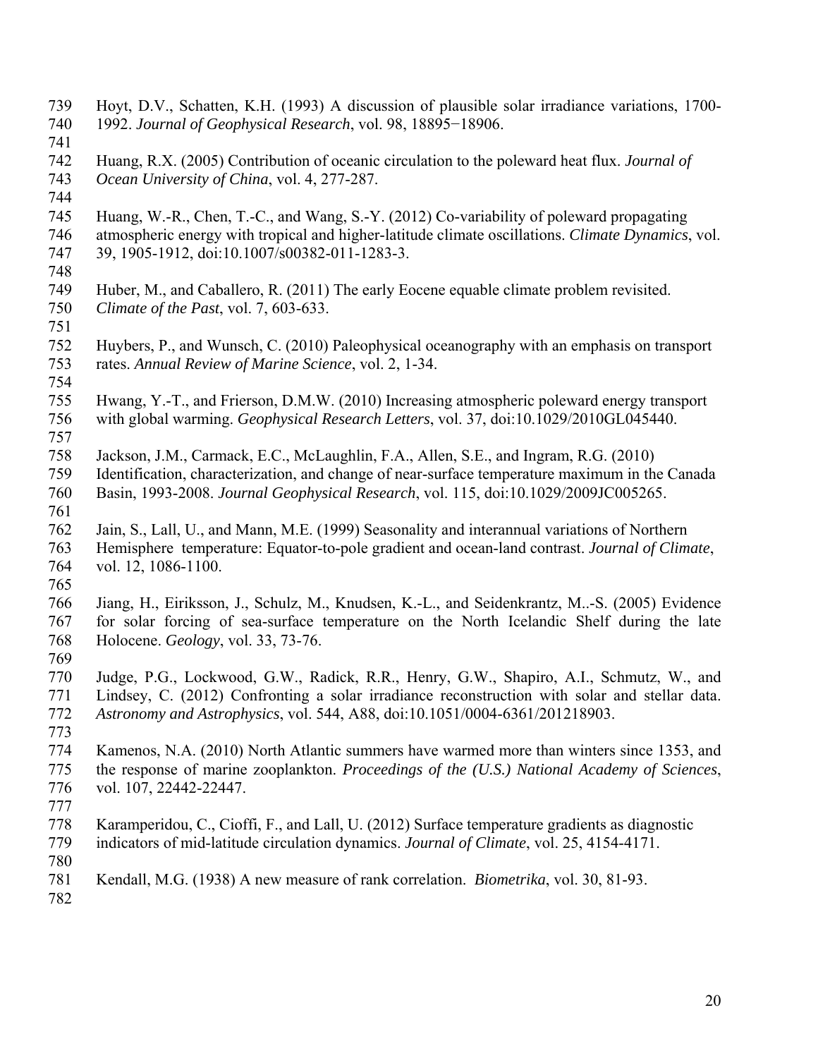739 Hoyt, D.V., Schatten, K.H. (1993) A discussion of plausible solar irradiance variations, 1700- 740 1992. *Journal of Geophysical Research*, vol. 98, 18895−18906. 741 742 Huang, R.X. (2005) Contribution of oceanic circulation to the poleward heat flux. *Journal of*  743 *Ocean University of China*, vol. 4, 277-287. 744 745 Huang, W.-R., Chen, T.-C., and Wang, S.-Y. (2012) Co-variability of poleward propagating 746 atmospheric energy with tropical and higher-latitude climate oscillations. *Climate Dynamics*, vol. 747 39, 1905-1912, doi:10.1007/s00382-011-1283-3. 748 749 Huber, M., and Caballero, R. (2011) The early Eocene equable climate problem revisited. 750 *Climate of the Past*, vol. 7, 603-633. 751 752 Huybers, P., and Wunsch, C. (2010) Paleophysical oceanography with an emphasis on transport 753 rates. *Annual Review of Marine Science*, vol. 2, 1-34. 754 755 Hwang, Y.-T., and Frierson, D.M.W. (2010) Increasing atmospheric poleward energy transport 756 with global warming. *Geophysical Research Letters*, vol. 37, doi:10.1029/2010GL045440. 757 758 Jackson, J.M., Carmack, E.C., McLaughlin, F.A., Allen, S.E., and Ingram, R.G. (2010) 759 Identification, characterization, and change of near-surface temperature maximum in the Canada 760 Basin, 1993-2008. *Journal Geophysical Research*, vol. 115, doi:10.1029/2009JC005265. 761 762 Jain, S., Lall, U., and Mann, M.E. (1999) Seasonality and interannual variations of Northern 763 Hemisphere temperature: Equator-to-pole gradient and ocean-land contrast. *Journal of Climate*, 764 vol. 12, 1086-1100. 765 766 Jiang, H., Eiriksson, J., Schulz, M., Knudsen, K.-L., and Seidenkrantz, M..-S. (2005) Evidence 767 for solar forcing of sea-surface temperature on the North Icelandic Shelf during the late 768 Holocene. *Geology*, vol. 33, 73-76. 769 770 Judge, P.G., Lockwood, G.W., Radick, R.R., Henry, G.W., Shapiro, A.I., Schmutz, W., and 771 Lindsey, C. (2012) Confronting a solar irradiance reconstruction with solar and stellar data. 772 *Astronomy and Astrophysics*, vol. 544, A88, doi:10.1051/0004-6361/201218903. 773 774 Kamenos, N.A. (2010) North Atlantic summers have warmed more than winters since 1353, and 775 the response of marine zooplankton. *Proceedings of the (U.S.) National Academy of Sciences*, 776 vol. 107, 22442-22447. 777 778 Karamperidou, C., Cioffi, F., and Lall, U. (2012) Surface temperature gradients as diagnostic 779 indicators of mid-latitude circulation dynamics. *Journal of Climate*, vol. 25, 4154-4171. 780 781 Kendall, M.G. (1938) A new measure of rank correlation. *Biometrika*, vol. 30, 81-93. 782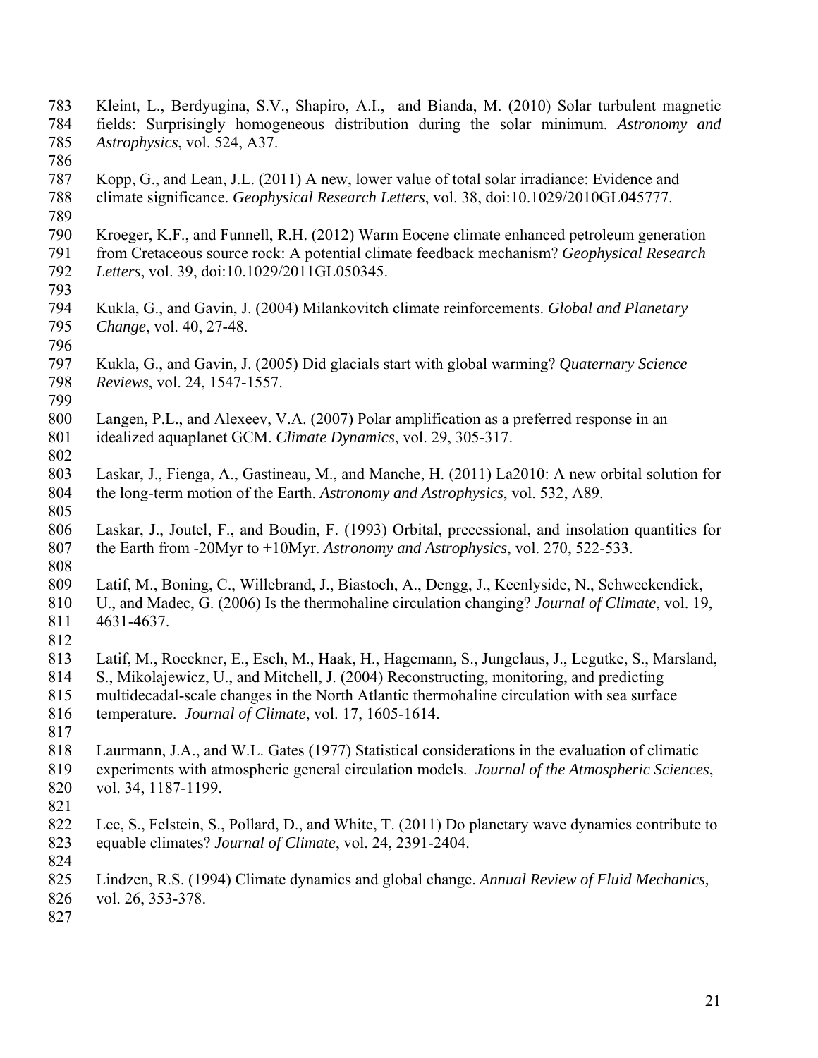783 Kleint, L., Berdyugina, S.V., Shapiro, A.I., and Bianda, M. (2010) Solar turbulent magnetic 784 fields: Surprisingly homogeneous distribution during the solar minimum. *Astronomy and*  785 *Astrophysics*, vol. 524, A37. 786 787 Kopp, G., and Lean, J.L. (2011) A new, lower value of total solar irradiance: Evidence and 788 climate significance. *Geophysical Research Letters*, vol. 38, doi:10.1029/2010GL045777. 789 790 Kroeger, K.F., and Funnell, R.H. (2012) Warm Eocene climate enhanced petroleum generation 791 from Cretaceous source rock: A potential climate feedback mechanism? *Geophysical Research*  792 *Letters*, vol. 39, doi:10.1029/2011GL050345. 793 794 Kukla, G., and Gavin, J. (2004) Milankovitch climate reinforcements. *Global and Planetary*  795 *Change*, vol. 40, 27-48. 796<br>797 797 Kukla, G., and Gavin, J. (2005) Did glacials start with global warming? *Quaternary Science*  798 *Reviews*, vol. 24, 1547-1557. 799 800 Langen, P.L., and Alexeev, V.A. (2007) Polar amplification as a preferred response in an 801 idealized aquaplanet GCM. *Climate Dynamics*, vol. 29, 305-317. 802 803 Laskar, J., Fienga, A., Gastineau, M., and Manche, H. (2011) La2010: A new orbital solution for 804 the long-term motion of the Earth. *Astronomy and Astrophysics*, vol. 532, A89. 805 806 Laskar, J., Joutel, F., and Boudin, F. (1993) Orbital, precessional, and insolation quantities for 807 the Earth from -20Myr to +10Myr. *Astronomy and Astrophysics*, vol. 270, 522-533. 808 809 Latif, M., Boning, C., Willebrand, J., Biastoch, A., Dengg, J., Keenlyside, N., Schweckendiek, 810 U., and Madec, G. (2006) Is the thermohaline circulation changing? *Journal of Climate*, vol. 19, 811 4631-4637. 812 813 Latif, M., Roeckner, E., Esch, M., Haak, H., Hagemann, S., Jungclaus, J., Legutke, S., Marsland, 814 S., Mikolajewicz, U., and Mitchell, J. (2004) Reconstructing, monitoring, and predicting 815 multidecadal-scale changes in the North Atlantic thermohaline circulation with sea surface 816 temperature. *Journal of Climate*, vol. 17, 1605-1614. 817 818 Laurmann, J.A., and W.L. Gates (1977) Statistical considerations in the evaluation of climatic 819 experiments with atmospheric general circulation models. *Journal of the Atmospheric Sciences*, 820 vol. 34, 1187-1199. 821 822 Lee, S., Felstein, S., Pollard, D., and White, T. (2011) Do planetary wave dynamics contribute to 823 equable climates? *Journal of Climate*, vol. 24, 2391-2404. 824 825 Lindzen, R.S. (1994) Climate dynamics and global change. *Annual Review of Fluid Mechanics,* 826 vol. 26, 353-378. 827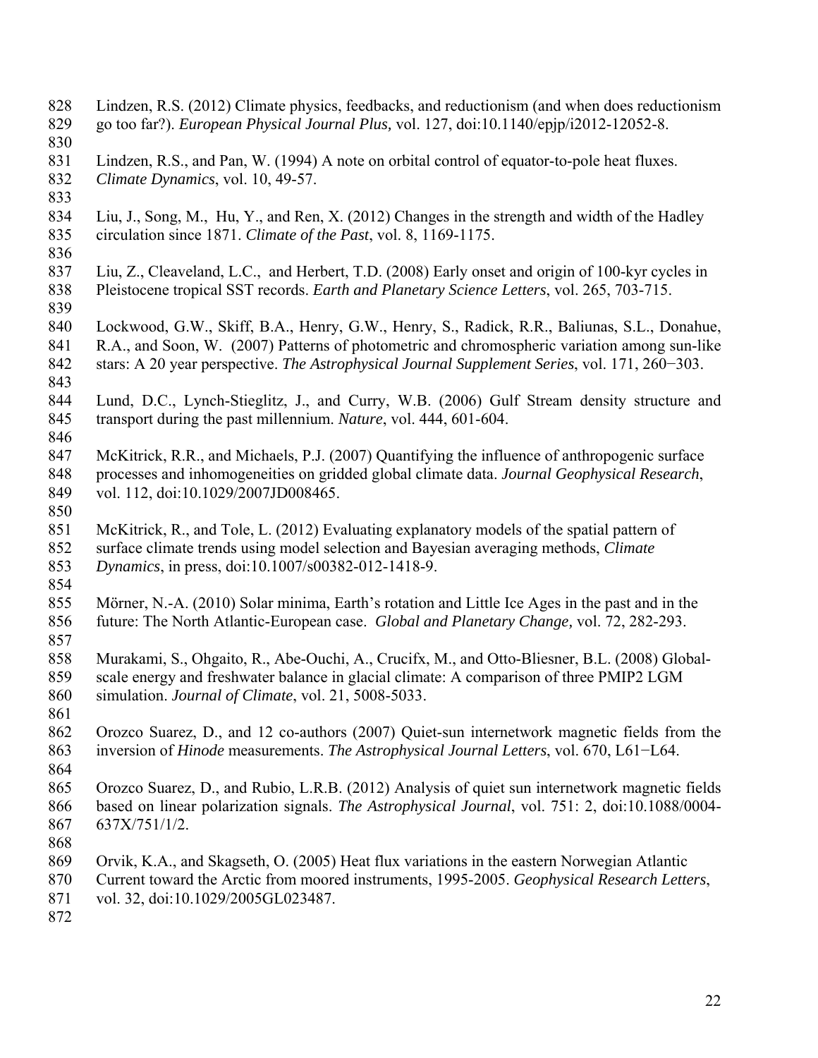- 828 Lindzen, R.S. (2012) Climate physics, feedbacks, and reductionism (and when does reductionism
- 829 go too far?). *European Physical Journal Plus,* vol. 127, doi:10.1140/epjp/i2012-12052-8.
- 830
- 831 Lindzen, R.S., and Pan, W. (1994) A note on orbital control of equator-to-pole heat fluxes.
- 832 *Climate Dynamics*, vol. 10, 49-57.
- 833
- 834 Liu, J., Song, M., Hu, Y., and Ren, X. (2012) Changes in the strength and width of the Hadley 835 circulation since 1871. *Climate of the Past*, vol. 8, 1169-1175.
- 836 837 Liu, Z., Cleaveland, L.C., and Herbert, T.D. (2008) Early onset and origin of 100-kyr cycles in 838 Pleistocene tropical SST records. *Earth and Planetary Science Letters*, vol. 265, 703-715. 839
- 840 Lockwood, G.W., Skiff, B.A., Henry, G.W., Henry, S., Radick, R.R., Baliunas, S.L., Donahue,
- 841 R.A., and Soon, W. (2007) Patterns of photometric and chromospheric variation among sun-like<br>842 stars: A 20 vear perspective. The Astrophysical Journal Supplement Series, vol. 171, 260–303. 842 stars: A 20 year perspective. *The Astrophysical Journal Supplement Series*, vol. 171, 260−303. 843
- 844 Lund, D.C., Lynch-Stieglitz, J., and Curry, W.B. (2006) Gulf Stream density structure and 845 transport during the past millennium. *Nature*, vol. 444, 601-604. 846
- 847 McKitrick, R.R., and Michaels, P.J. (2007) Quantifying the influence of anthropogenic surface 848 processes and inhomogeneities on gridded global climate data. *Journal Geophysical Research*, 849 vol. 112, doi:10.1029/2007JD008465.
- 850
- 851 McKitrick, R., and Tole, L. (2012) Evaluating explanatory models of the spatial pattern of 852 surface climate trends using model selection and Bayesian averaging methods, *Climate*
- 853 *Dynamics*, in press, doi:10.1007/s00382-012-1418-9.
- 854

855 Mörner, N.-A. (2010) Solar minima, Earth's rotation and Little Ice Ages in the past and in the 856 future: The North Atlantic-European case. *Global and Planetary Change,* vol. 72, 282-293.

- 857 858 Murakami, S., Ohgaito, R., Abe-Ouchi, A., Crucifx, M., and Otto-Bliesner, B.L. (2008) Global-859 scale energy and freshwater balance in glacial climate: A comparison of three PMIP2 LGM
- 860 simulation. *Journal of Climate*, vol. 21, 5008-5033. 861
- 862 Orozco Suarez, D., and 12 co-authors (2007) Quiet-sun internetwork magnetic fields from the 863 inversion of *Hinode* measurements. *The Astrophysical Journal Letters*, vol. 670, L61−L64.
- 864 865 Orozco Suarez, D., and Rubio, L.R.B. (2012) Analysis of quiet sun internetwork magnetic fields 866 based on linear polarization signals. *The Astrophysical Journal*, vol. 751: 2, doi:10.1088/0004- 867 637X/751/1/2.
- 868
- 869 Orvik, K.A., and Skagseth, O. (2005) Heat flux variations in the eastern Norwegian Atlantic
- 870 Current toward the Arctic from moored instruments, 1995-2005. *Geophysical Research Letters*,
- 871 vol. 32, doi:10.1029/2005GL023487.
- 872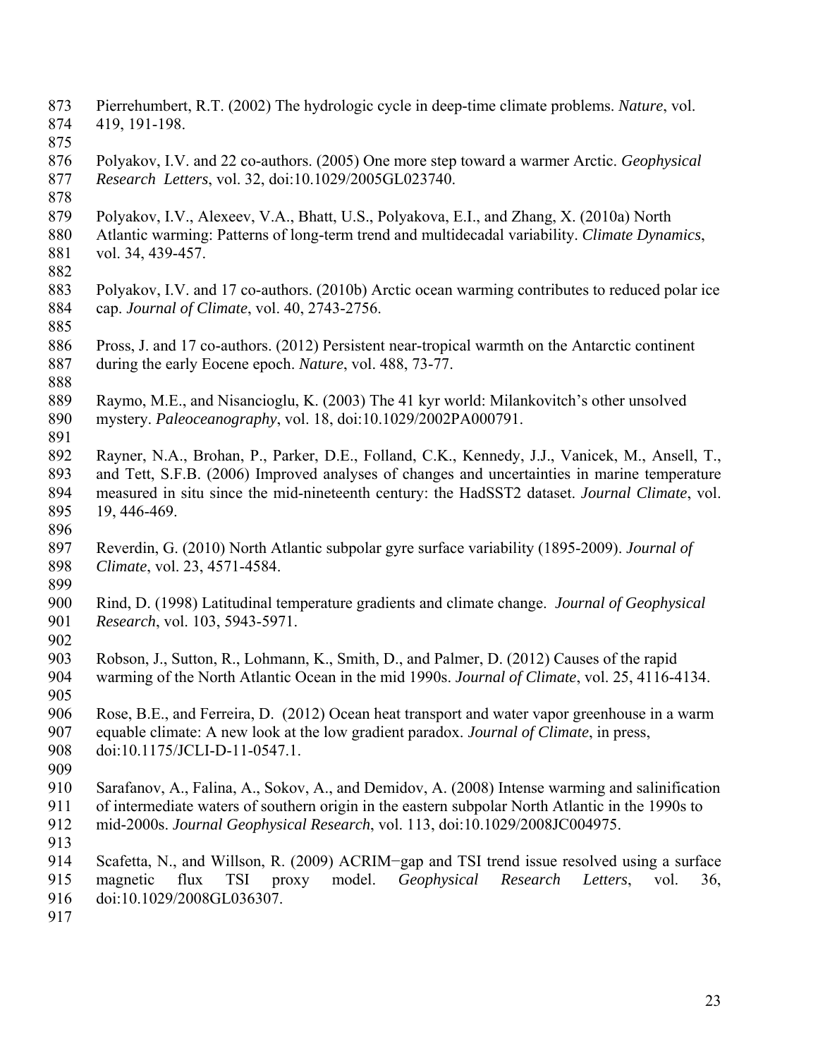- 873 Pierrehumbert, R.T. (2002) The hydrologic cycle in deep-time climate problems. *Nature*, vol. 874 419, 191-198.
- 875
- 876 Polyakov, I.V. and 22 co-authors. (2005) One more step toward a warmer Arctic. *Geophysical*  877 *Research Letters*, vol. 32, doi:10.1029/2005GL023740.
- 878
- 879 Polyakov, I.V., Alexeev, V.A., Bhatt, U.S., Polyakova, E.I., and Zhang, X. (2010a) North
- 880 Atlantic warming: Patterns of long-term trend and multidecadal variability. *Climate Dynamics*, 881 vol. 34, 439-457.
- 882
- 883 Polyakov, I.V. and 17 co-authors. (2010b) Arctic ocean warming contributes to reduced polar ice 884 cap. *Journal of Climate*, vol. 40, 2743-2756. 885
- 886 Pross, J. and 17 co-authors. (2012) Persistent near-tropical warmth on the Antarctic continent 887 during the early Eocene epoch. *Nature*, vol. 488, 73-77.
- 888

889 Raymo, M.E., and Nisancioglu, K. (2003) The 41 kyr world: Milankovitch's other unsolved 890 mystery. *Paleoceanography*, vol. 18, doi:10.1029/2002PA000791. 891

- 892 Rayner, N.A., Brohan, P., Parker, D.E., Folland, C.K., Kennedy, J.J., Vanicek, M., Ansell, T., 893 and Tett, S.F.B. (2006) Improved analyses of changes and uncertainties in marine temperature 894 measured in situ since the mid-nineteenth century: the HadSST2 dataset. *Journal Climate*, vol. 895 19, 446-469.
- 896
- 897 Reverdin, G. (2010) North Atlantic subpolar gyre surface variability (1895-2009). *Journal of*  898 *Climate*, vol. 23, 4571-4584.
- 899

900 Rind, D. (1998) Latitudinal temperature gradients and climate change. *Journal of Geophysical*  901 *Research*, vol. 103, 5943-5971.

- 902
- 903 Robson, J., Sutton, R., Lohmann, K., Smith, D., and Palmer, D. (2012) Causes of the rapid 904 warming of the North Atlantic Ocean in the mid 1990s. *Journal of Climate*, vol. 25, 4116-4134.
- 905
- 906 Rose, B.E., and Ferreira, D. (2012) Ocean heat transport and water vapor greenhouse in a warm 907 equable climate: A new look at the low gradient paradox. *Journal of Climate*, in press, 908 doi:10.1175/JCLI-D-11-0547.1.
- 909
- 910 Sarafanov, A., Falina, A., Sokov, A., and Demidov, A. (2008) Intense warming and salinification
- 911 of intermediate waters of southern origin in the eastern subpolar North Atlantic in the 1990s to
- 912 mid-2000s. *Journal Geophysical Research*, vol. 113, doi:10.1029/2008JC004975.
- 913
- 914 Scafetta, N., and Willson, R. (2009) ACRIM−gap and TSI trend issue resolved using a surface 915 magnetic flux TSI proxy model. *Geophysical Research Letters*, vol. 36,
- 916 doi:10.1029/2008GL036307.
- 917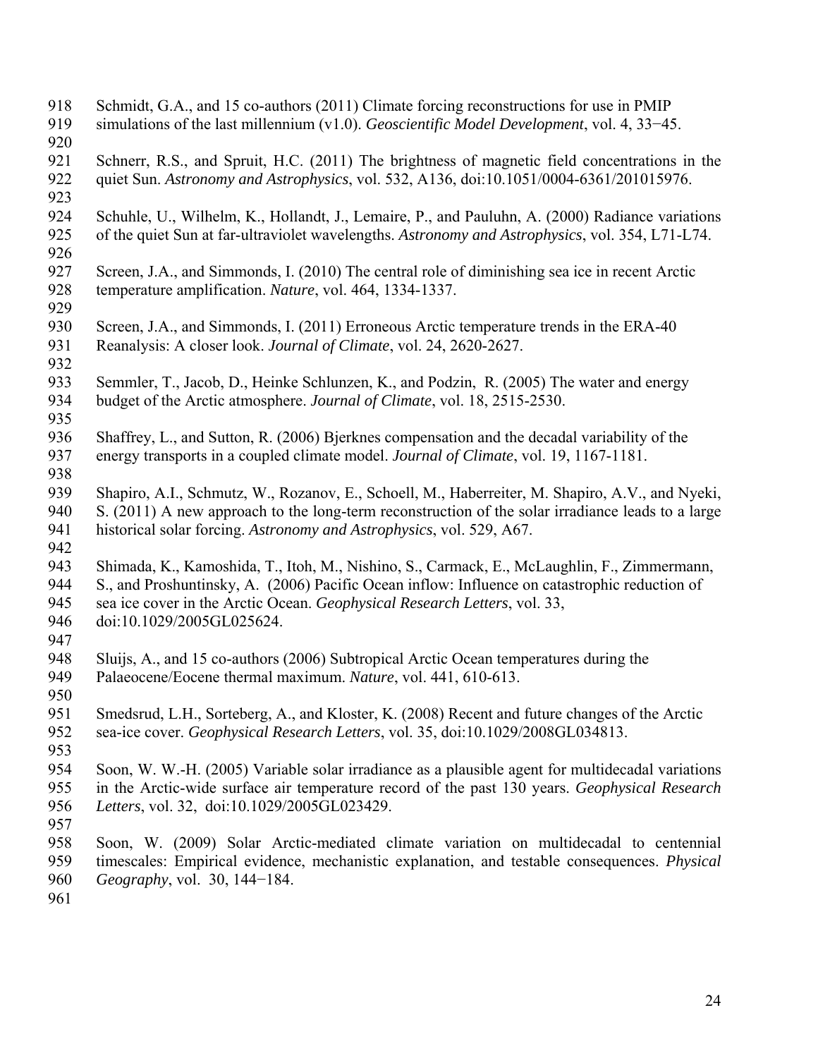- 918 Schmidt, G.A., and 15 co-authors (2011) Climate forcing reconstructions for use in PMIP
- 919 simulations of the last millennium (v1.0). *Geoscientific Model Development*, vol. 4, 33−45.
- 920
- 921 Schnerr, R.S., and Spruit, H.C. (2011) The brightness of magnetic field concentrations in the 922 quiet Sun. *Astronomy and Astrophysics*, vol. 532, A136, doi:10.1051/0004-6361/201015976.
- 923
- 924 Schuhle, U., Wilhelm, K., Hollandt, J., Lemaire, P., and Pauluhn, A. (2000) Radiance variations 925 of the quiet Sun at far-ultraviolet wavelengths. *Astronomy and Astrophysics*, vol. 354, L71-L74.
- 926
- 927 Screen, J.A., and Simmonds, I. (2010) The central role of diminishing sea ice in recent Arctic 928 temperature amplification. *Nature*, vol. 464, 1334-1337.
- 929
- 930 Screen, J.A., and Simmonds, I. (2011) Erroneous Arctic temperature trends in the ERA-40 931 Reanalysis: A closer look. *Journal of Climate*, vol. 24, 2620-2627.
- 932
- 933 Semmler, T., Jacob, D., Heinke Schlunzen, K., and Podzin, R. (2005) The water and energy 934 budget of the Arctic atmosphere. *Journal of Climate*, vol. 18, 2515-2530.
- 935
- 936 Shaffrey, L., and Sutton, R. (2006) Bjerknes compensation and the decadal variability of the 937 energy transports in a coupled climate model. *Journal of Climate*, vol. 19, 1167-1181.
- 938

939 Shapiro, A.I., Schmutz, W., Rozanov, E., Schoell, M., Haberreiter, M. Shapiro, A.V., and Nyeki, 940 S. (2011) A new approach to the long-term reconstruction of the solar irradiance leads to a large 941 historical solar forcing. *Astronomy and Astrophysics*, vol. 529, A67.

- 942
- 943 Shimada, K., Kamoshida, T., Itoh, M., Nishino, S., Carmack, E., McLaughlin, F., Zimmermann,
- 944 S., and Proshuntinsky, A. (2006) Pacific Ocean inflow: Influence on catastrophic reduction of 945 sea ice cover in the Arctic Ocean. *Geophysical Research Letters*, vol. 33,
- 946 doi:10.1029/2005GL025624.
- 947
- 948 Sluijs, A., and 15 co-authors (2006) Subtropical Arctic Ocean temperatures during the 949 Palaeocene/Eocene thermal maximum. *Nature*, vol. 441, 610-613.
- 950
- 951 Smedsrud, L.H., Sorteberg, A., and Kloster, K. (2008) Recent and future changes of the Arctic 952 sea-ice cover. *Geophysical Research Letters*, vol. 35, doi:10.1029/2008GL034813.
- 953
- 954 Soon, W. W.-H. (2005) Variable solar irradiance as a plausible agent for multidecadal variations 955 in the Arctic-wide surface air temperature record of the past 130 years. *Geophysical Research*  956 *Letters*, vol. 32, doi:10.1029/2005GL023429.
- 957
- 958 Soon, W. (2009) Solar Arctic-mediated climate variation on multidecadal to centennial 959 timescales: Empirical evidence, mechanistic explanation, and testable consequences. *Physical*  960 *Geography*, vol. 30, 144−184.
- 961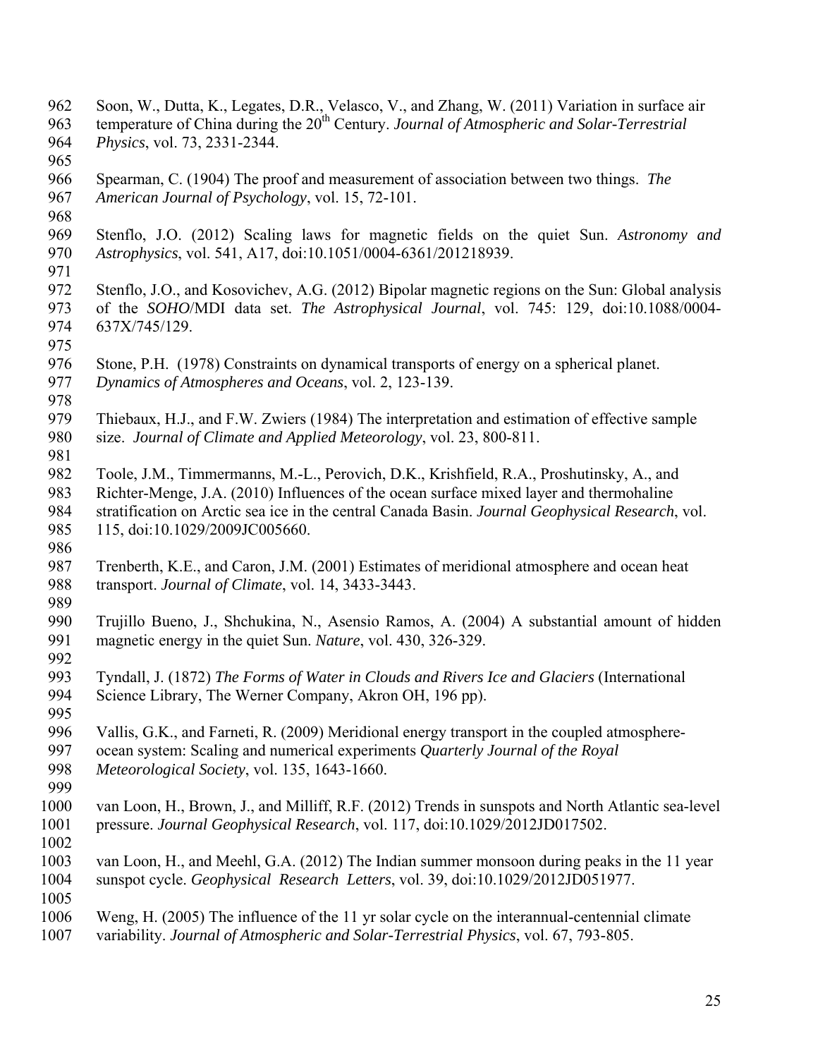962 Soon, W., Dutta, K., Legates, D.R., Velasco, V., and Zhang, W. (2011) Variation in surface air temperature of China during the 20<sup>th</sup> Century. *Journal of Atmospheric and Solar-Terrestrial* 964 *Physics*, vol. 73, 2331-2344. 965 966 Spearman, C. (1904) The proof and measurement of association between two things. *The*  967 *American Journal of Psychology*, vol. 15, 72-101. 968 969 Stenflo, J.O. (2012) Scaling laws for magnetic fields on the quiet Sun. *Astronomy and*  970 *Astrophysics*, vol. 541, A17, doi:10.1051/0004-6361/201218939. 971 972 Stenflo, J.O., and Kosovichev, A.G. (2012) Bipolar magnetic regions on the Sun: Global analysis 973 of the *SOHO*/MDI data set. *The Astrophysical Journal*, vol. 745: 129, doi:10.1088/0004- 974 637X/745/129. 975 976 Stone, P.H. (1978) Constraints on dynamical transports of energy on a spherical planet. 977 *Dynamics of Atmospheres and Oceans*, vol. 2, 123-139. 978 979 Thiebaux, H.J., and F.W. Zwiers (1984) The interpretation and estimation of effective sample 980 size. *Journal of Climate and Applied Meteorology*, vol. 23, 800-811. 981 982 Toole, J.M., Timmermanns, M.-L., Perovich, D.K., Krishfield, R.A., Proshutinsky, A., and 983 Richter-Menge, J.A. (2010) Influences of the ocean surface mixed layer and thermohaline 984 stratification on Arctic sea ice in the central Canada Basin. *Journal Geophysical Research*, vol. 985 115, doi:10.1029/2009JC005660. 986 987 Trenberth, K.E., and Caron, J.M. (2001) Estimates of meridional atmosphere and ocean heat 988 transport. *Journal of Climate*, vol. 14, 3433-3443. 989 990 Trujillo Bueno, J., Shchukina, N., Asensio Ramos, A. (2004) A substantial amount of hidden 991 magnetic energy in the quiet Sun. *Nature*, vol. 430, 326-329. 992 993 Tyndall, J. (1872) *The Forms of Water in Clouds and Rivers Ice and Glaciers* (International 994 Science Library, The Werner Company, Akron OH, 196 pp). 995 996 Vallis, G.K., and Farneti, R. (2009) Meridional energy transport in the coupled atmosphere-997 ocean system: Scaling and numerical experiments *Quarterly Journal of the Royal*  998 *Meteorological Society*, vol. 135, 1643-1660. 999 1000 van Loon, H., Brown, J., and Milliff, R.F. (2012) Trends in sunspots and North Atlantic sea-level 1001 pressure. *Journal Geophysical Research*, vol. 117, doi:10.1029/2012JD017502. 1002 1003 van Loon, H., and Meehl, G.A. (2012) The Indian summer monsoon during peaks in the 11 year 1004 sunspot cycle. *Geophysical Research Letters*, vol. 39, doi:10.1029/2012JD051977. 1005 1006 Weng, H. (2005) The influence of the 11 yr solar cycle on the interannual-centennial climate 1007 variability. *Journal of Atmospheric and Solar-Terrestrial Physics*, vol. 67, 793-805.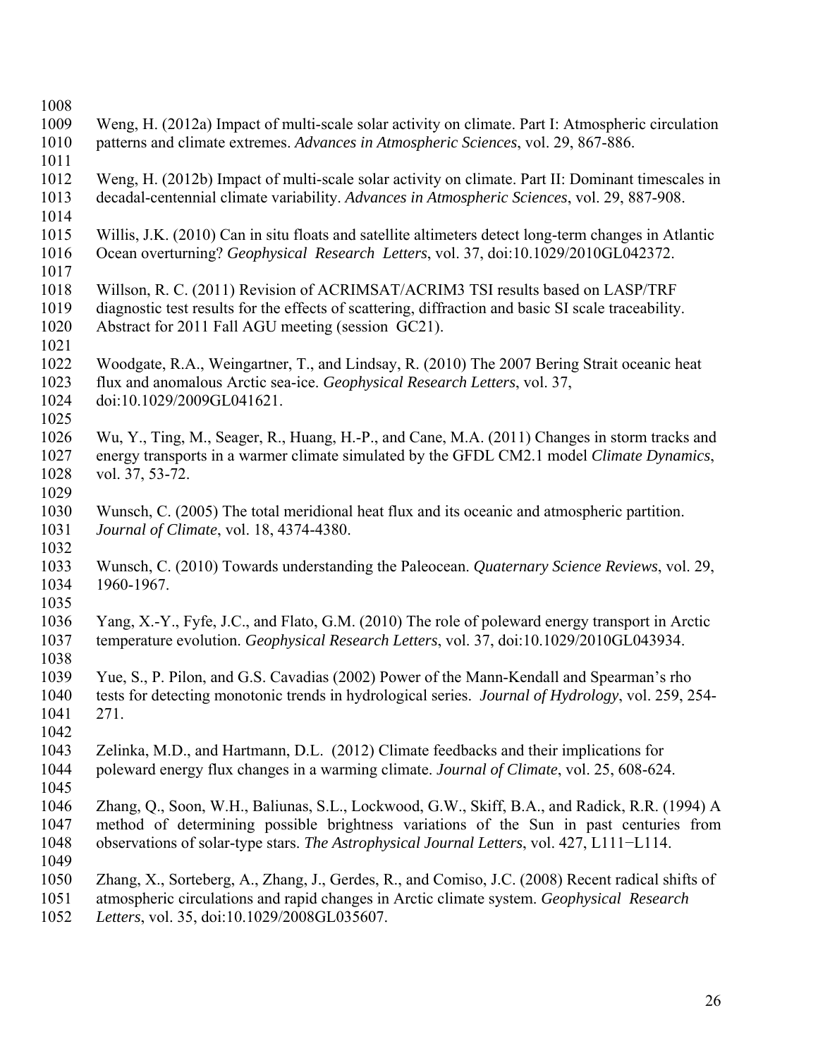| 1008 |                                                                                                      |
|------|------------------------------------------------------------------------------------------------------|
| 1009 | Weng, H. (2012a) Impact of multi-scale solar activity on climate. Part I: Atmospheric circulation    |
| 1010 | patterns and climate extremes. Advances in Atmospheric Sciences, vol. 29, 867-886.                   |
| 1011 |                                                                                                      |
| 1012 | Weng, H. (2012b) Impact of multi-scale solar activity on climate. Part II: Dominant timescales in    |
| 1013 | decadal-centennial climate variability. Advances in Atmospheric Sciences, vol. 29, 887-908.          |
| 1014 |                                                                                                      |
|      | Willis, J.K. (2010) Can in situ floats and satellite altimeters detect long-term changes in Atlantic |
| 1015 |                                                                                                      |
| 1016 | Ocean overturning? Geophysical Research Letters, vol. 37, doi:10.1029/2010GL042372.                  |
| 1017 |                                                                                                      |
| 1018 | Willson, R. C. (2011) Revision of ACRIMSAT/ACRIM3 TSI results based on LASP/TRF                      |
| 1019 | diagnostic test results for the effects of scattering, diffraction and basic SI scale traceability.  |
| 1020 | Abstract for 2011 Fall AGU meeting (session GC21).                                                   |
| 1021 |                                                                                                      |
| 1022 | Woodgate, R.A., Weingartner, T., and Lindsay, R. (2010) The 2007 Bering Strait oceanic heat          |
| 1023 | flux and anomalous Arctic sea-ice. Geophysical Research Letters, vol. 37,                            |
| 1024 | doi:10.1029/2009GL041621.                                                                            |
| 1025 |                                                                                                      |
| 1026 | Wu, Y., Ting, M., Seager, R., Huang, H.-P., and Cane, M.A. (2011) Changes in storm tracks and        |
| 1027 | energy transports in a warmer climate simulated by the GFDL CM2.1 model Climate Dynamics,            |
| 1028 | vol. 37, 53-72.                                                                                      |
| 1029 |                                                                                                      |
| 1030 | Wunsch, C. (2005) The total meridional heat flux and its oceanic and atmospheric partition.          |
| 1031 | Journal of Climate, vol. 18, 4374-4380.                                                              |
| 1032 |                                                                                                      |
| 1033 | Wunsch, C. (2010) Towards understanding the Paleocean. Quaternary Science Reviews, vol. 29,          |
| 1034 | 1960-1967.                                                                                           |
| 1035 |                                                                                                      |
| 1036 | Yang, X.-Y., Fyfe, J.C., and Flato, G.M. (2010) The role of poleward energy transport in Arctic      |
| 1037 | temperature evolution. Geophysical Research Letters, vol. 37, doi:10.1029/2010GL043934.              |
| 1038 |                                                                                                      |
| 1039 | Yue, S., P. Pilon, and G.S. Cavadias (2002) Power of the Mann-Kendall and Spearman's rho             |
| 1040 | tests for detecting monotonic trends in hydrological series. Journal of Hydrology, vol. 259, 254-    |
| 1041 | 271.                                                                                                 |
| 1042 |                                                                                                      |
| 1043 | Zelinka, M.D., and Hartmann, D.L. (2012) Climate feedbacks and their implications for                |
|      |                                                                                                      |
| 1044 | poleward energy flux changes in a warming climate. Journal of Climate, vol. 25, 608-624.             |
| 1045 |                                                                                                      |
| 1046 | Zhang, Q., Soon, W.H., Baliunas, S.L., Lockwood, G.W., Skiff, B.A., and Radick, R.R. (1994) A        |
| 1047 | method of determining possible brightness variations of the Sun in past centuries from               |
| 1048 | observations of solar-type stars. The Astrophysical Journal Letters, vol. 427, L111-L114.            |
| 1049 |                                                                                                      |
| 1050 | Zhang, X., Sorteberg, A., Zhang, J., Gerdes, R., and Comiso, J.C. (2008) Recent radical shifts of    |
| 1051 | atmospheric circulations and rapid changes in Arctic climate system. Geophysical Research            |
| 1052 | Letters, vol. 35, doi:10.1029/2008GL035607.                                                          |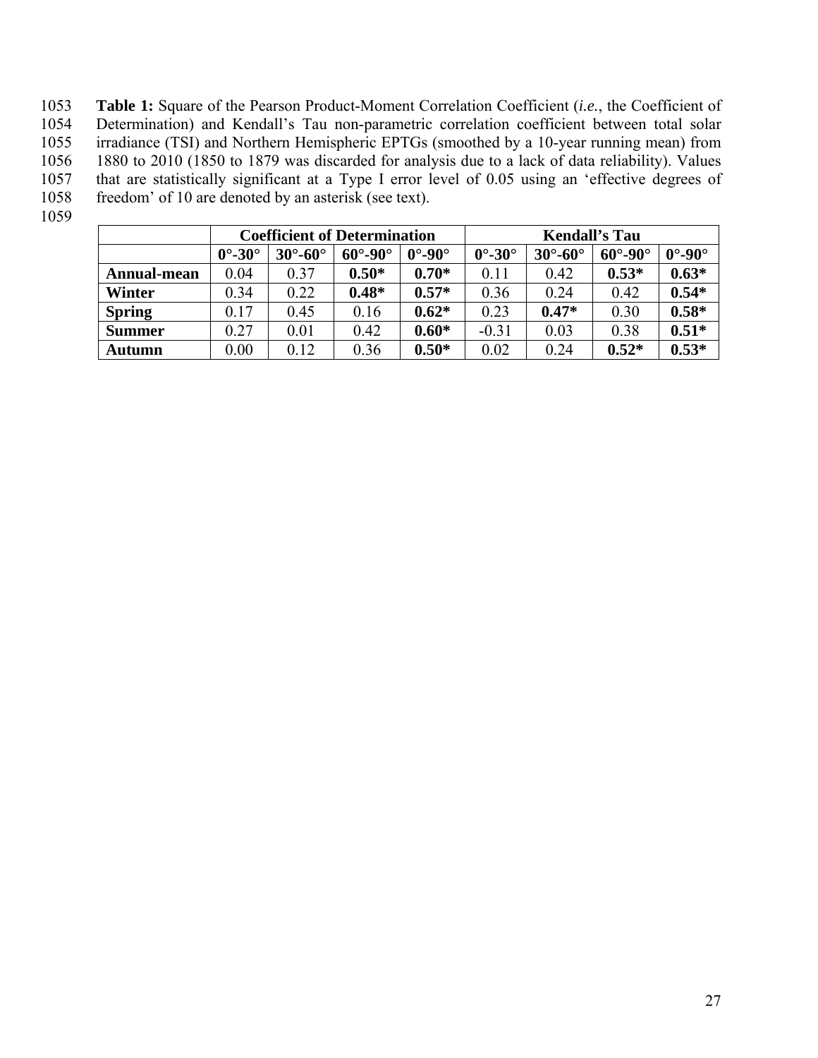1053 **Table 1:** Square of the Pearson Product-Moment Correlation Coefficient (*i.e.*, the Coefficient of 1054 Determination) and Kendall's Tau non-parametric correlation coefficient between total solar Determination) and Kendall's Tau non-parametric correlation coefficient between total solar 1055 irradiance (TSI) and Northern Hemispheric EPTGs (smoothed by a 10-year running mean) from 1056 1880 to 2010 (1850 to 1879 was discarded for analysis due to a lack of data reliability). Values that are statistically significant at a Type I error level of 0.05 using an 'effective degrees of 1057 that are statistically significant at a Type I error level of 0.05 using an 'effective degrees of 1058 freedom' of 10 are denoted by an asterisk (see text). freedom' of 10 are denoted by an asterisk (see text).

1059

|               | <b>Coefficient of Determination</b> |                       |                       |                        | <b>Kendall's Tau</b>   |                       |                       |                        |
|---------------|-------------------------------------|-----------------------|-----------------------|------------------------|------------------------|-----------------------|-----------------------|------------------------|
|               | $0^\circ$ -30 $^\circ$              | $30^\circ - 60^\circ$ | $60^\circ - 90^\circ$ | $0^\circ$ -90 $^\circ$ | $0^\circ$ -30 $^\circ$ | $30^\circ - 60^\circ$ | $60^\circ - 90^\circ$ | $0^\circ$ -90 $^\circ$ |
| Annual-mean   | 0.04                                | 0.37                  | $0.50*$               | $0.70*$                | 0.11                   | 0.42                  | $0.53*$               | $0.63*$                |
| Winter        | 0.34                                | 0.22                  | $0.48*$               | $0.57*$                | 0.36                   | 0.24                  | 0.42                  | $0.54*$                |
| <b>Spring</b> | 0.17                                | 0.45                  | 0.16                  | $0.62*$                | 0.23                   | $0.47*$               | 0.30                  | $0.58*$                |
| <b>Summer</b> | 0.27                                | 0.01                  | 0.42                  | $0.60*$                | $-0.31$                | 0.03                  | 0.38                  | $0.51*$                |
| Autumn        | 0.00                                | 0.12                  | 0.36                  | $0.50*$                | 0.02                   | 0.24                  | $0.52*$               | $0.53*$                |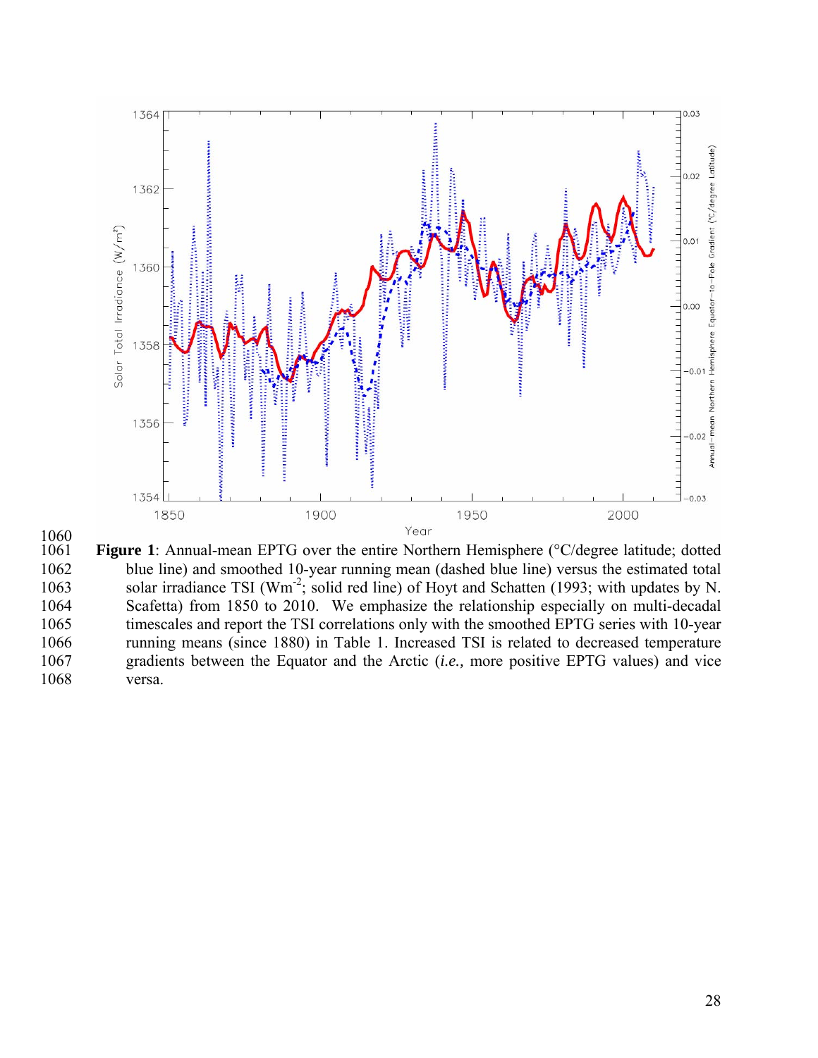

 $\frac{1060}{1061}$ 

Figure 1: Annual-mean EPTG over the entire Northern Hemisphere (°C/degree latitude; dotted 1062 blue line) and smoothed 10-year running mean (dashed blue line) versus the estimated total 1063 solar irradiance TSI ( $Wm<sup>2</sup>$ ; solid red line) of Hoyt and Schatten (1993; with updates by N. 1064 Scafetta) from 1850 to 2010. We emphasize the relationship especially on multi-decadal 1065 timescales and report the TSI correlations only with the smoothed EPTG series with 10-year 1066 running means (since 1880) in Table 1. Increased TSI is related to decreased temperature 1067 gradients between the Equator and the Arctic (*i.e.,* more positive EPTG values) and vice 1068 versa.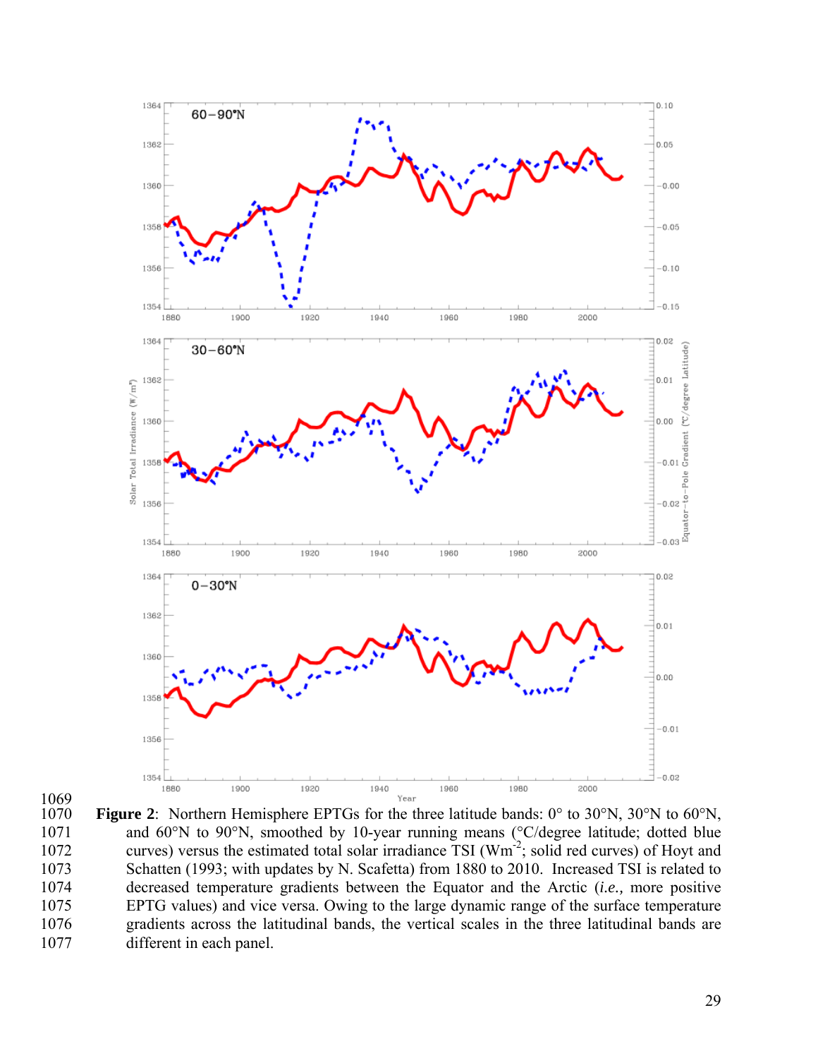



Figure 2: Northern Hemisphere EPTGs for the three latitude bands: 0° to 30°N, 30°N to 60°N, 1071 and 60°N to 90°N, smoothed by 10-year running means (°C/degree latitude; dotted blue 1072 curves) versus the estimated total solar irradiance  $\overline{TSI}$  (Wm<sup>2</sup>; solid red curves) of Hoyt and 1073 Schatten (1993; with updates by N. Scafetta) from 1880 to 2010. Increased TSI is related to 1074 decreased temperature gradients between the Equator and the Arctic (*i.e.,* more positive 1075 EPTG values) and vice versa. Owing to the large dynamic range of the surface temperature 1076 gradients across the latitudinal bands, the vertical scales in the three latitudinal bands are 1077 different in each panel.